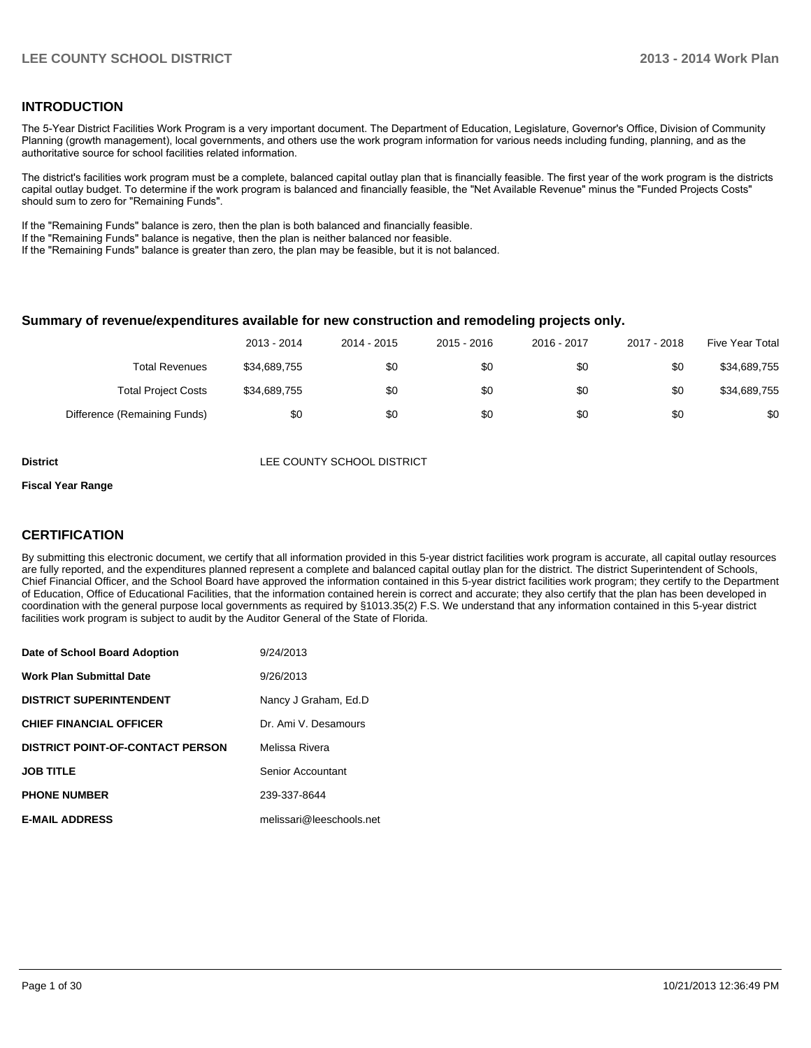#### **INTRODUCTION**

The 5-Year District Facilities Work Program is a very important document. The Department of Education, Legislature, Governor's Office, Division of Community Planning (growth management), local governments, and others use the work program information for various needs including funding, planning, and as the authoritative source for school facilities related information.

The district's facilities work program must be a complete, balanced capital outlay plan that is financially feasible. The first year of the work program is the districts capital outlay budget. To determine if the work program is balanced and financially feasible, the "Net Available Revenue" minus the "Funded Projects Costs" should sum to zero for "Remaining Funds".

If the "Remaining Funds" balance is zero, then the plan is both balanced and financially feasible.

If the "Remaining Funds" balance is negative, then the plan is neither balanced nor feasible.

If the "Remaining Funds" balance is greater than zero, the plan may be feasible, but it is not balanced.

#### **Summary of revenue/expenditures available for new construction and remodeling projects only.**

|                              | 2013 - 2014  | 2014 - 2015 | 2015 - 2016 | 2016 - 2017 | 2017 - 2018 | Five Year Total |
|------------------------------|--------------|-------------|-------------|-------------|-------------|-----------------|
| <b>Total Revenues</b>        | \$34,689,755 | \$0         | \$0         | \$0         | \$0         | \$34,689,755    |
| <b>Total Project Costs</b>   | \$34,689,755 | \$0         | \$0         | \$0         | \$0         | \$34,689,755    |
| Difference (Remaining Funds) | \$0          | \$0         | \$0         | \$0         | \$0         | \$0             |

**District District LEE COUNTY SCHOOL DISTRICT** 

#### **Fiscal Year Range**

#### **CERTIFICATION**

By submitting this electronic document, we certify that all information provided in this 5-year district facilities work program is accurate, all capital outlay resources are fully reported, and the expenditures planned represent a complete and balanced capital outlay plan for the district. The district Superintendent of Schools, Chief Financial Officer, and the School Board have approved the information contained in this 5-year district facilities work program; they certify to the Department of Education, Office of Educational Facilities, that the information contained herein is correct and accurate; they also certify that the plan has been developed in coordination with the general purpose local governments as required by §1013.35(2) F.S. We understand that any information contained in this 5-year district facilities work program is subject to audit by the Auditor General of the State of Florida.

| Date of School Board Adoption           | 9/24/2013                |
|-----------------------------------------|--------------------------|
| <b>Work Plan Submittal Date</b>         | 9/26/2013                |
| <b>DISTRICT SUPERINTENDENT</b>          | Nancy J Graham, Ed.D     |
| <b>CHIEF FINANCIAL OFFICER</b>          | Dr. Ami V. Desamours     |
| <b>DISTRICT POINT-OF-CONTACT PERSON</b> | Melissa Rivera           |
| <b>JOB TITLE</b>                        | Senior Accountant        |
| <b>PHONE NUMBER</b>                     | 239-337-8644             |
| <b>E-MAIL ADDRESS</b>                   | melissari@leeschools.net |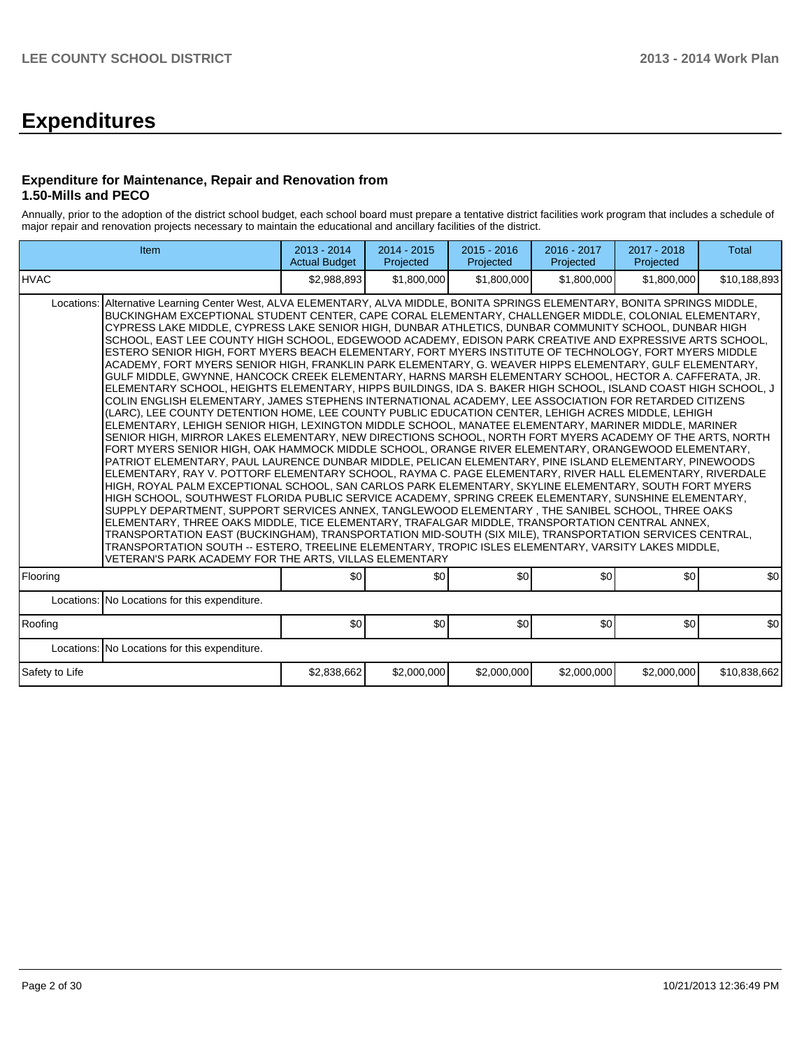# **Expenditures**

#### **Expenditure for Maintenance, Repair and Renovation from 1.50-Mills and PECO**

Annually, prior to the adoption of the district school budget, each school board must prepare a tentative district facilities work program that includes a schedule of major repair and renovation projects necessary to maintain the educational and ancillary facilities of the district.

|                | Item                                                                                                                                                                                                                                                                                                                                                                                                                                                                                                                                                                                                                                                                                                                                                                                                                                                                                                                                                                                                                                                                                                                                                                                                                                                                                                                                                                                                                                                                                                                                                                                                                                                                                                                                                                                                                                                                                                                                                                                                                                                                                                                                                                                                                                                                                                                                                              | 2013 - 2014<br><b>Actual Budget</b> | 2014 - 2015<br>Projected | $2015 - 2016$<br>Projected | 2016 - 2017<br>Projected | 2017 - 2018<br>Projected | <b>Total</b> |
|----------------|-------------------------------------------------------------------------------------------------------------------------------------------------------------------------------------------------------------------------------------------------------------------------------------------------------------------------------------------------------------------------------------------------------------------------------------------------------------------------------------------------------------------------------------------------------------------------------------------------------------------------------------------------------------------------------------------------------------------------------------------------------------------------------------------------------------------------------------------------------------------------------------------------------------------------------------------------------------------------------------------------------------------------------------------------------------------------------------------------------------------------------------------------------------------------------------------------------------------------------------------------------------------------------------------------------------------------------------------------------------------------------------------------------------------------------------------------------------------------------------------------------------------------------------------------------------------------------------------------------------------------------------------------------------------------------------------------------------------------------------------------------------------------------------------------------------------------------------------------------------------------------------------------------------------------------------------------------------------------------------------------------------------------------------------------------------------------------------------------------------------------------------------------------------------------------------------------------------------------------------------------------------------------------------------------------------------------------------------------------------------|-------------------------------------|--------------------------|----------------------------|--------------------------|--------------------------|--------------|
| IHVAC          |                                                                                                                                                                                                                                                                                                                                                                                                                                                                                                                                                                                                                                                                                                                                                                                                                                                                                                                                                                                                                                                                                                                                                                                                                                                                                                                                                                                                                                                                                                                                                                                                                                                                                                                                                                                                                                                                                                                                                                                                                                                                                                                                                                                                                                                                                                                                                                   | \$2,988,893                         | \$1,800,000              | \$1,800,000                | \$1,800,000              | \$1,800,000              | \$10,188,893 |
| Locations:     | Alternative Learning Center West, ALVA ELEMENTARY, ALVA MIDDLE, BONITA SPRINGS ELEMENTARY, BONITA SPRINGS MIDDLE,<br>BUCKINGHAM EXCEPTIONAL STUDENT CENTER, CAPE CORAL ELEMENTARY, CHALLENGER MIDDLE, COLONIAL ELEMENTARY,<br>CYPRESS LAKE MIDDLE, CYPRESS LAKE SENIOR HIGH, DUNBAR ATHLETICS, DUNBAR COMMUNITY SCHOOL, DUNBAR HIGH<br>SCHOOL, EAST LEE COUNTY HIGH SCHOOL, EDGEWOOD ACADEMY, EDISON PARK CREATIVE AND EXPRESSIVE ARTS SCHOOL,<br>ESTERO SENIOR HIGH. FORT MYERS BEACH ELEMENTARY. FORT MYERS INSTITUTE OF TECHNOLOGY. FORT MYERS MIDDLE<br>ACADEMY, FORT MYERS SENIOR HIGH, FRANKLIN PARK ELEMENTARY, G. WEAVER HIPPS ELEMENTARY, GULF ELEMENTARY,<br>GULF MIDDLE, GWYNNE, HANCOCK CREEK ELEMENTARY, HARNS MARSH ELEMENTARY SCHOOL, HECTOR A. CAFFERATA, JR.<br>ELEMENTARY SCHOOL, HEIGHTS ELEMENTARY, HIPPS BUILDINGS, IDA S. BAKER HIGH SCHOOL, ISLAND COAST HIGH SCHOOL, J<br>COLIN ENGLISH ELEMENTARY, JAMES STEPHENS INTERNATIONAL ACADEMY, LEE ASSOCIATION FOR RETARDED CITIZENS<br>(LARC). LEE COUNTY DETENTION HOME. LEE COUNTY PUBLIC EDUCATION CENTER. LEHIGH ACRES MIDDLE. LEHIGH<br>ELEMENTARY, LEHIGH SENIOR HIGH, LEXINGTON MIDDLE SCHOOL, MANATEE ELEMENTARY, MARINER MIDDLE, MARINER<br>SENIOR HIGH, MIRROR LAKES ELEMENTARY, NEW DIRECTIONS SCHOOL, NORTH FORT MYERS ACADEMY OF THE ARTS, NORTH<br>FORT MYERS SENIOR HIGH, OAK HAMMOCK MIDDLE SCHOOL, ORANGE RIVER ELEMENTARY, ORANGEWOOD ELEMENTARY,<br>PATRIOT ELEMENTARY, PAUL LAURENCE DUNBAR MIDDLE, PELICAN ELEMENTARY, PINE ISLAND ELEMENTARY, PINEWOODS<br>ELEMENTARY, RAY V. POTTORF ELEMENTARY SCHOOL, RAYMA C. PAGE ELEMENTARY, RIVER HALL ELEMENTARY, RIVERDALE<br>HIGH, ROYAL PALM EXCEPTIONAL SCHOOL, SAN CARLOS PARK ELEMENTARY, SKYLINE ELEMENTARY, SOUTH FORT MYERS<br>HIGH SCHOOL, SOUTHWEST FLORIDA PUBLIC SERVICE ACADEMY, SPRING CREEK ELEMENTARY, SUNSHINE ELEMENTARY,<br>SUPPLY DEPARTMENT, SUPPORT SERVICES ANNEX, TANGLEWOOD ELEMENTARY, THE SANIBEL SCHOOL, THREE OAKS<br>ELEMENTARY, THREE OAKS MIDDLE, TICE ELEMENTARY, TRAFALGAR MIDDLE, TRANSPORTATION CENTRAL ANNEX,<br>TRANSPORTATION EAST (BUCKINGHAM), TRANSPORTATION MID-SOUTH (SIX MILE), TRANSPORTATION SERVICES CENTRAL,<br>TRANSPORTATION SOUTH -- ESTERO, TREELINE ELEMENTARY, TROPIC ISLES ELEMENTARY, VARSITY LAKES MIDDLE,<br>VETERAN'S PARK ACADEMY FOR THE ARTS, VILLAS ELEMENTARY |                                     |                          |                            |                          |                          |              |
| Flooring       |                                                                                                                                                                                                                                                                                                                                                                                                                                                                                                                                                                                                                                                                                                                                                                                                                                                                                                                                                                                                                                                                                                                                                                                                                                                                                                                                                                                                                                                                                                                                                                                                                                                                                                                                                                                                                                                                                                                                                                                                                                                                                                                                                                                                                                                                                                                                                                   | \$0                                 | \$0                      | \$0 <sub>1</sub>           | \$0 <sub>1</sub>         | \$0                      | \$0          |
|                | Locations: No Locations for this expenditure.                                                                                                                                                                                                                                                                                                                                                                                                                                                                                                                                                                                                                                                                                                                                                                                                                                                                                                                                                                                                                                                                                                                                                                                                                                                                                                                                                                                                                                                                                                                                                                                                                                                                                                                                                                                                                                                                                                                                                                                                                                                                                                                                                                                                                                                                                                                     |                                     |                          |                            |                          |                          |              |
| Roofing        |                                                                                                                                                                                                                                                                                                                                                                                                                                                                                                                                                                                                                                                                                                                                                                                                                                                                                                                                                                                                                                                                                                                                                                                                                                                                                                                                                                                                                                                                                                                                                                                                                                                                                                                                                                                                                                                                                                                                                                                                                                                                                                                                                                                                                                                                                                                                                                   | \$0                                 | \$0                      | \$0                        | \$0                      | \$0                      | \$0          |
|                | Locations: No Locations for this expenditure.                                                                                                                                                                                                                                                                                                                                                                                                                                                                                                                                                                                                                                                                                                                                                                                                                                                                                                                                                                                                                                                                                                                                                                                                                                                                                                                                                                                                                                                                                                                                                                                                                                                                                                                                                                                                                                                                                                                                                                                                                                                                                                                                                                                                                                                                                                                     |                                     |                          |                            |                          |                          |              |
| Safety to Life |                                                                                                                                                                                                                                                                                                                                                                                                                                                                                                                                                                                                                                                                                                                                                                                                                                                                                                                                                                                                                                                                                                                                                                                                                                                                                                                                                                                                                                                                                                                                                                                                                                                                                                                                                                                                                                                                                                                                                                                                                                                                                                                                                                                                                                                                                                                                                                   | \$2,838,662                         | \$2,000,000              | \$2,000,000                | \$2,000,000              | \$2,000,000              | \$10,838,662 |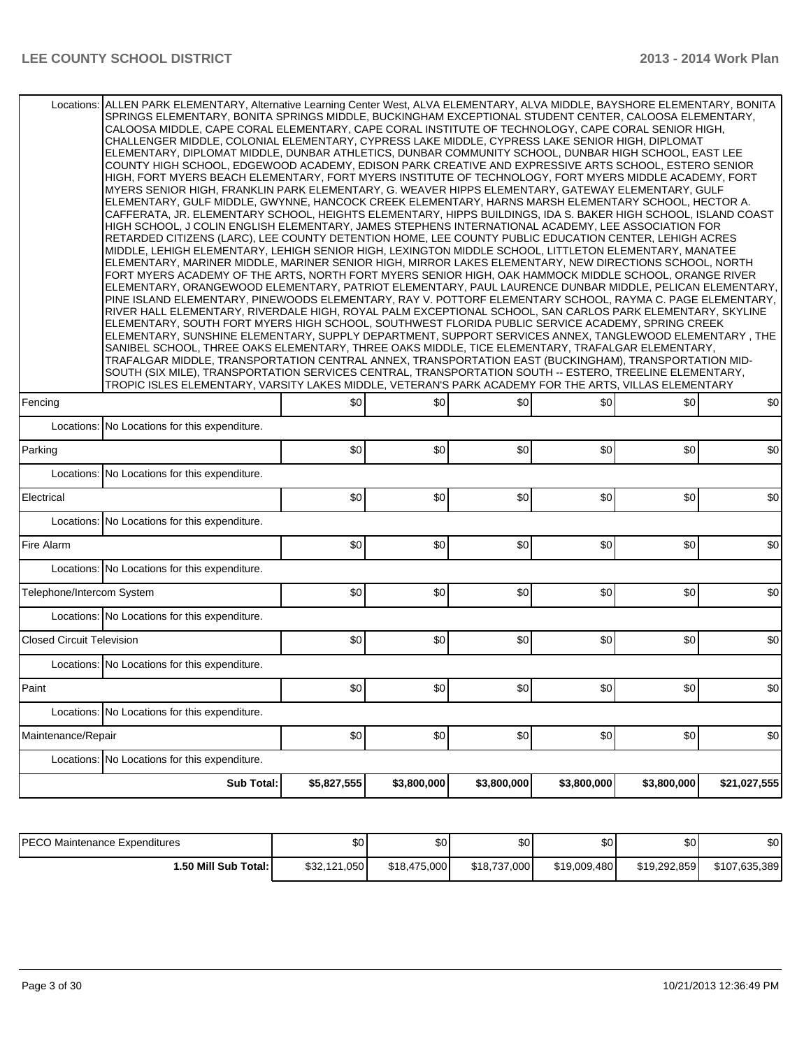| Locations: ALLEN PARK ELEMENTARY, Alternative Learning Center West, ALVA ELEMENTARY, ALVA MIDDLE, BAYSHORE ELEMENTARY, BONITA<br>SPRINGS ELEMENTARY, BONITA SPRINGS MIDDLE, BUCKINGHAM EXCEPTIONAL STUDENT CENTER, CALOOSA ELEMENTARY,<br>CALOOSA MIDDLE, CAPE CORAL ELEMENTARY, CAPE CORAL INSTITUTE OF TECHNOLOGY, CAPE CORAL SENIOR HIGH,<br>CHALLENGER MIDDLE, COLONIAL ELEMENTARY, CYPRESS LAKE MIDDLE, CYPRESS LAKE SENIOR HIGH, DIPLOMAT<br>ELEMENTARY, DIPLOMAT MIDDLE, DUNBAR ATHLETICS, DUNBAR COMMUNITY SCHOOL, DUNBAR HIGH SCHOOL, EAST LEE<br>COUNTY HIGH SCHOOL, EDGEWOOD ACADEMY, EDISON PARK CREATIVE AND EXPRESSIVE ARTS SCHOOL, ESTERO SENIOR<br>HIGH, FORT MYERS BEACH ELEMENTARY, FORT MYERS INSTITUTE OF TECHNOLOGY, FORT MYERS MIDDLE ACADEMY, FORT<br>MYERS SENIOR HIGH, FRANKLIN PARK ELEMENTARY, G. WEAVER HIPPS ELEMENTARY, GATEWAY ELEMENTARY, GULF<br>ELEMENTARY, GULF MIDDLE, GWYNNE, HANCOCK CREEK ELEMENTARY, HARNS MARSH ELEMENTARY SCHOOL, HECTOR A.<br>CAFFERATA, JR. ELEMENTARY SCHOOL, HEIGHTS ELEMENTARY, HIPPS BUILDINGS, IDA S. BAKER HIGH SCHOOL, ISLAND COAST<br>HIGH SCHOOL, J COLIN ENGLISH ELEMENTARY, JAMES STEPHENS INTERNATIONAL ACADEMY, LEE ASSOCIATION FOR<br>RETARDED CITIZENS (LARC), LEE COUNTY DETENTION HOME, LEE COUNTY PUBLIC EDUCATION CENTER, LEHIGH ACRES<br>MIDDLE, LEHIGH ELEMENTARY, LEHIGH SENIOR HIGH, LEXINGTON MIDDLE SCHOOL, LITTLETON ELEMENTARY, MANATEE<br>ELEMENTARY, MARINER MIDDLE, MARINER SENIOR HIGH, MIRROR LAKES ELEMENTARY, NEW DIRECTIONS SCHOOL, NORTH<br>FORT MYERS ACADEMY OF THE ARTS, NORTH FORT MYERS SENIOR HIGH, OAK HAMMOCK MIDDLE SCHOOL, ORANGE RIVER<br>ELEMENTARY, ORANGEWOOD ELEMENTARY, PATRIOT ELEMENTARY, PAUL LAURENCE DUNBAR MIDDLE, PELICAN ELEMENTARY,<br>PINE ISLAND ELEMENTARY, PINEWOODS ELEMENTARY, RAY V. POTTORF ELEMENTARY SCHOOL, RAYMA C. PAGE ELEMENTARY,<br>RIVER HALL ELEMENTARY, RIVERDALE HIGH, ROYAL PALM EXCEPTIONAL SCHOOL, SAN CARLOS PARK ELEMENTARY, SKYLINE<br>ELEMENTARY, SOUTH FORT MYERS HIGH SCHOOL, SOUTHWEST FLORIDA PUBLIC SERVICE ACADEMY, SPRING CREEK<br>ELEMENTARY, SUNSHINE ELEMENTARY, SUPPLY DEPARTMENT, SUPPORT SERVICES ANNEX, TANGLEWOOD ELEMENTARY, THE<br>SANIBEL SCHOOL, THREE OAKS ELEMENTARY, THREE OAKS MIDDLE, TICE ELEMENTARY, TRAFALGAR ELEMENTARY,<br>TRAFALGAR MIDDLE, TRANSPORTATION CENTRAL ANNEX, TRANSPORTATION EAST (BUCKINGHAM), TRANSPORTATION MID-<br>SOUTH (SIX MILE), TRANSPORTATION SERVICES CENTRAL, TRANSPORTATION SOUTH -- ESTERO, TREELINE ELEMENTARY,<br>TROPIC ISLES ELEMENTARY, VARSITY LAKES MIDDLE, VETERAN'S PARK ACADEMY FOR THE ARTS, VILLAS ELEMENTARY |                                               |     |     |  |  |  |  |  |  |  |
|---------------------------------------------------------------------------------------------------------------------------------------------------------------------------------------------------------------------------------------------------------------------------------------------------------------------------------------------------------------------------------------------------------------------------------------------------------------------------------------------------------------------------------------------------------------------------------------------------------------------------------------------------------------------------------------------------------------------------------------------------------------------------------------------------------------------------------------------------------------------------------------------------------------------------------------------------------------------------------------------------------------------------------------------------------------------------------------------------------------------------------------------------------------------------------------------------------------------------------------------------------------------------------------------------------------------------------------------------------------------------------------------------------------------------------------------------------------------------------------------------------------------------------------------------------------------------------------------------------------------------------------------------------------------------------------------------------------------------------------------------------------------------------------------------------------------------------------------------------------------------------------------------------------------------------------------------------------------------------------------------------------------------------------------------------------------------------------------------------------------------------------------------------------------------------------------------------------------------------------------------------------------------------------------------------------------------------------------------------------------------------------------------------------------------------------------------------------------------------------------------------------------------------------------------------------------------------------------------------------------------------------|-----------------------------------------------|-----|-----|--|--|--|--|--|--|--|
| \$0<br>\$0<br>\$0<br>Fencing                                                                                                                                                                                                                                                                                                                                                                                                                                                                                                                                                                                                                                                                                                                                                                                                                                                                                                                                                                                                                                                                                                                                                                                                                                                                                                                                                                                                                                                                                                                                                                                                                                                                                                                                                                                                                                                                                                                                                                                                                                                                                                                                                                                                                                                                                                                                                                                                                                                                                                                                                                                                          | \$0                                           | \$0 | \$0 |  |  |  |  |  |  |  |
| Locations: No Locations for this expenditure.                                                                                                                                                                                                                                                                                                                                                                                                                                                                                                                                                                                                                                                                                                                                                                                                                                                                                                                                                                                                                                                                                                                                                                                                                                                                                                                                                                                                                                                                                                                                                                                                                                                                                                                                                                                                                                                                                                                                                                                                                                                                                                                                                                                                                                                                                                                                                                                                                                                                                                                                                                                         |                                               |     |     |  |  |  |  |  |  |  |
| \$0<br>Parking<br>\$0<br>\$0                                                                                                                                                                                                                                                                                                                                                                                                                                                                                                                                                                                                                                                                                                                                                                                                                                                                                                                                                                                                                                                                                                                                                                                                                                                                                                                                                                                                                                                                                                                                                                                                                                                                                                                                                                                                                                                                                                                                                                                                                                                                                                                                                                                                                                                                                                                                                                                                                                                                                                                                                                                                          | \$0                                           | \$0 | \$0 |  |  |  |  |  |  |  |
| No Locations for this expenditure.<br>Locations:                                                                                                                                                                                                                                                                                                                                                                                                                                                                                                                                                                                                                                                                                                                                                                                                                                                                                                                                                                                                                                                                                                                                                                                                                                                                                                                                                                                                                                                                                                                                                                                                                                                                                                                                                                                                                                                                                                                                                                                                                                                                                                                                                                                                                                                                                                                                                                                                                                                                                                                                                                                      |                                               |     |     |  |  |  |  |  |  |  |
| Electrical<br>\$0<br>\$0<br>\$0                                                                                                                                                                                                                                                                                                                                                                                                                                                                                                                                                                                                                                                                                                                                                                                                                                                                                                                                                                                                                                                                                                                                                                                                                                                                                                                                                                                                                                                                                                                                                                                                                                                                                                                                                                                                                                                                                                                                                                                                                                                                                                                                                                                                                                                                                                                                                                                                                                                                                                                                                                                                       | \$0                                           | \$0 | \$0 |  |  |  |  |  |  |  |
| No Locations for this expenditure.<br>Locations:                                                                                                                                                                                                                                                                                                                                                                                                                                                                                                                                                                                                                                                                                                                                                                                                                                                                                                                                                                                                                                                                                                                                                                                                                                                                                                                                                                                                                                                                                                                                                                                                                                                                                                                                                                                                                                                                                                                                                                                                                                                                                                                                                                                                                                                                                                                                                                                                                                                                                                                                                                                      |                                               |     |     |  |  |  |  |  |  |  |
| Fire Alarm<br>\$0<br>\$0<br>\$0                                                                                                                                                                                                                                                                                                                                                                                                                                                                                                                                                                                                                                                                                                                                                                                                                                                                                                                                                                                                                                                                                                                                                                                                                                                                                                                                                                                                                                                                                                                                                                                                                                                                                                                                                                                                                                                                                                                                                                                                                                                                                                                                                                                                                                                                                                                                                                                                                                                                                                                                                                                                       | \$0                                           | \$0 | \$0 |  |  |  |  |  |  |  |
| Locations: No Locations for this expenditure.                                                                                                                                                                                                                                                                                                                                                                                                                                                                                                                                                                                                                                                                                                                                                                                                                                                                                                                                                                                                                                                                                                                                                                                                                                                                                                                                                                                                                                                                                                                                                                                                                                                                                                                                                                                                                                                                                                                                                                                                                                                                                                                                                                                                                                                                                                                                                                                                                                                                                                                                                                                         |                                               |     |     |  |  |  |  |  |  |  |
| Telephone/Intercom System<br>\$0<br>\$0<br>\$0                                                                                                                                                                                                                                                                                                                                                                                                                                                                                                                                                                                                                                                                                                                                                                                                                                                                                                                                                                                                                                                                                                                                                                                                                                                                                                                                                                                                                                                                                                                                                                                                                                                                                                                                                                                                                                                                                                                                                                                                                                                                                                                                                                                                                                                                                                                                                                                                                                                                                                                                                                                        | \$0                                           | \$0 | \$0 |  |  |  |  |  |  |  |
| Locations: No Locations for this expenditure.                                                                                                                                                                                                                                                                                                                                                                                                                                                                                                                                                                                                                                                                                                                                                                                                                                                                                                                                                                                                                                                                                                                                                                                                                                                                                                                                                                                                                                                                                                                                                                                                                                                                                                                                                                                                                                                                                                                                                                                                                                                                                                                                                                                                                                                                                                                                                                                                                                                                                                                                                                                         |                                               |     |     |  |  |  |  |  |  |  |
| <b>Closed Circuit Television</b><br>\$0<br>\$0<br>\$0                                                                                                                                                                                                                                                                                                                                                                                                                                                                                                                                                                                                                                                                                                                                                                                                                                                                                                                                                                                                                                                                                                                                                                                                                                                                                                                                                                                                                                                                                                                                                                                                                                                                                                                                                                                                                                                                                                                                                                                                                                                                                                                                                                                                                                                                                                                                                                                                                                                                                                                                                                                 | \$0                                           | \$0 | \$0 |  |  |  |  |  |  |  |
| Locations: No Locations for this expenditure.                                                                                                                                                                                                                                                                                                                                                                                                                                                                                                                                                                                                                                                                                                                                                                                                                                                                                                                                                                                                                                                                                                                                                                                                                                                                                                                                                                                                                                                                                                                                                                                                                                                                                                                                                                                                                                                                                                                                                                                                                                                                                                                                                                                                                                                                                                                                                                                                                                                                                                                                                                                         |                                               |     |     |  |  |  |  |  |  |  |
| Paint                                                                                                                                                                                                                                                                                                                                                                                                                                                                                                                                                                                                                                                                                                                                                                                                                                                                                                                                                                                                                                                                                                                                                                                                                                                                                                                                                                                                                                                                                                                                                                                                                                                                                                                                                                                                                                                                                                                                                                                                                                                                                                                                                                                                                                                                                                                                                                                                                                                                                                                                                                                                                                 | \$0]                                          | \$0 | \$0 |  |  |  |  |  |  |  |
| \$0<br>\$0]<br>\$0]                                                                                                                                                                                                                                                                                                                                                                                                                                                                                                                                                                                                                                                                                                                                                                                                                                                                                                                                                                                                                                                                                                                                                                                                                                                                                                                                                                                                                                                                                                                                                                                                                                                                                                                                                                                                                                                                                                                                                                                                                                                                                                                                                                                                                                                                                                                                                                                                                                                                                                                                                                                                                   | Locations: No Locations for this expenditure. |     |     |  |  |  |  |  |  |  |
|                                                                                                                                                                                                                                                                                                                                                                                                                                                                                                                                                                                                                                                                                                                                                                                                                                                                                                                                                                                                                                                                                                                                                                                                                                                                                                                                                                                                                                                                                                                                                                                                                                                                                                                                                                                                                                                                                                                                                                                                                                                                                                                                                                                                                                                                                                                                                                                                                                                                                                                                                                                                                                       |                                               |     |     |  |  |  |  |  |  |  |
| \$0<br>\$0<br>\$0<br>Maintenance/Repair                                                                                                                                                                                                                                                                                                                                                                                                                                                                                                                                                                                                                                                                                                                                                                                                                                                                                                                                                                                                                                                                                                                                                                                                                                                                                                                                                                                                                                                                                                                                                                                                                                                                                                                                                                                                                                                                                                                                                                                                                                                                                                                                                                                                                                                                                                                                                                                                                                                                                                                                                                                               | \$0]                                          | \$0 | \$0 |  |  |  |  |  |  |  |
| No Locations for this expenditure.<br>Locations:                                                                                                                                                                                                                                                                                                                                                                                                                                                                                                                                                                                                                                                                                                                                                                                                                                                                                                                                                                                                                                                                                                                                                                                                                                                                                                                                                                                                                                                                                                                                                                                                                                                                                                                                                                                                                                                                                                                                                                                                                                                                                                                                                                                                                                                                                                                                                                                                                                                                                                                                                                                      |                                               |     |     |  |  |  |  |  |  |  |

| <b>IPECO</b><br>) Maintenance Expenditures | \$0          | ¢۵<br>JU     | ጥ<br>ъU      | \$٥          | ሶስ<br>υG     | \$0           |
|--------------------------------------------|--------------|--------------|--------------|--------------|--------------|---------------|
| 1.50 Mill Sub Total: I                     | \$32,121,050 | \$18,475,000 | \$18,737,000 | \$19,009,480 | \$19,292,859 | \$107,635,389 |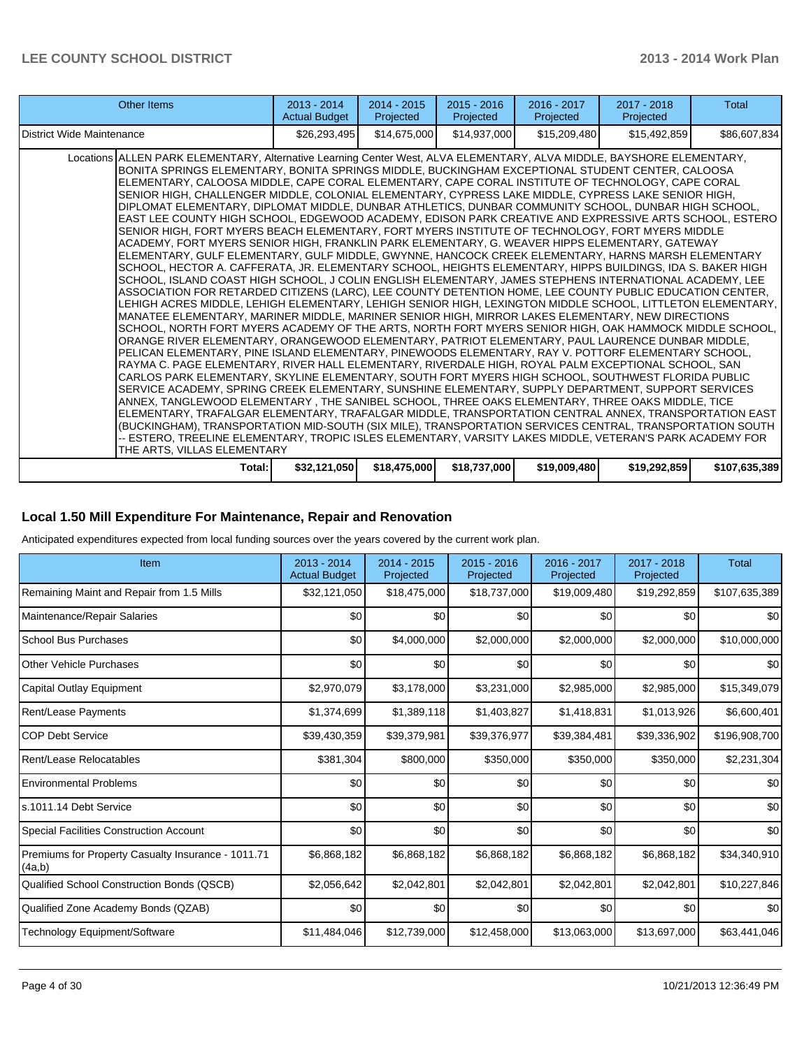| Other Items                                                                                                                                                                                                                                                                                                                                                                                                                                                                                                                                                                                                                                                                                                                                                                                                                                                                                                                                                                                                                                                                                                                                                                                                                                                                                                                                                                                                                                                                                                                                                                                                                                                                                                                                                                                                                                                                                                                                                                                                                                                                                                                                                                                                                                                                                                                                                                                                                                                                                                                                                                                                                              | $2013 - 2014$<br><b>Actual Budget</b> | 2014 - 2015<br>Projected | $2015 - 2016$<br>Projected | $2016 - 2017$<br>Projected | $2017 - 2018$<br>Projected | Total         |
|------------------------------------------------------------------------------------------------------------------------------------------------------------------------------------------------------------------------------------------------------------------------------------------------------------------------------------------------------------------------------------------------------------------------------------------------------------------------------------------------------------------------------------------------------------------------------------------------------------------------------------------------------------------------------------------------------------------------------------------------------------------------------------------------------------------------------------------------------------------------------------------------------------------------------------------------------------------------------------------------------------------------------------------------------------------------------------------------------------------------------------------------------------------------------------------------------------------------------------------------------------------------------------------------------------------------------------------------------------------------------------------------------------------------------------------------------------------------------------------------------------------------------------------------------------------------------------------------------------------------------------------------------------------------------------------------------------------------------------------------------------------------------------------------------------------------------------------------------------------------------------------------------------------------------------------------------------------------------------------------------------------------------------------------------------------------------------------------------------------------------------------------------------------------------------------------------------------------------------------------------------------------------------------------------------------------------------------------------------------------------------------------------------------------------------------------------------------------------------------------------------------------------------------------------------------------------------------------------------------------------------------|---------------------------------------|--------------------------|----------------------------|----------------------------|----------------------------|---------------|
| District Wide Maintenance                                                                                                                                                                                                                                                                                                                                                                                                                                                                                                                                                                                                                                                                                                                                                                                                                                                                                                                                                                                                                                                                                                                                                                                                                                                                                                                                                                                                                                                                                                                                                                                                                                                                                                                                                                                                                                                                                                                                                                                                                                                                                                                                                                                                                                                                                                                                                                                                                                                                                                                                                                                                                | \$26,293,495                          | \$14,675,000             | \$14,937,000               | \$15,209,480               | \$15,492,859               | \$86,607,834  |
| Locations ALLEN PARK ELEMENTARY, Alternative Learning Center West, ALVA ELEMENTARY, ALVA MIDDLE, BAYSHORE ELEMENTARY,<br>BONITA SPRINGS ELEMENTARY, BONITA SPRINGS MIDDLE, BUCKINGHAM EXCEPTIONAL STUDENT CENTER, CALOOSA<br>ELEMENTARY, CALOOSA MIDDLE, CAPE CORAL ELEMENTARY, CAPE CORAL INSTITUTE OF TECHNOLOGY, CAPE CORAL<br>SENIOR HIGH, CHALLENGER MIDDLE, COLONIAL ELEMENTARY, CYPRESS LAKE MIDDLE, CYPRESS LAKE SENIOR HIGH,<br>DIPLOMAT ELEMENTARY, DIPLOMAT MIDDLE, DUNBAR ATHLETICS, DUNBAR COMMUNITY SCHOOL, DUNBAR HIGH SCHOOL,<br>EAST LEE COUNTY HIGH SCHOOL, EDGEWOOD ACADEMY, EDISON PARK CREATIVE AND EXPRESSIVE ARTS SCHOOL, ESTERO<br>SENIOR HIGH. FORT MYERS BEACH ELEMENTARY. FORT MYERS INSTITUTE OF TECHNOLOGY. FORT MYERS MIDDLE<br>ACADEMY, FORT MYERS SENIOR HIGH, FRANKLIN PARK ELEMENTARY, G. WEAVER HIPPS ELEMENTARY, GATEWAY<br>ELEMENTARY, GULF ELEMENTARY, GULF MIDDLE, GWYNNE, HANCOCK CREEK ELEMENTARY, HARNS MARSH ELEMENTARY<br>SCHOOL, HECTOR A. CAFFERATA, JR. ELEMENTARY SCHOOL, HEIGHTS ELEMENTARY, HIPPS BUILDINGS, IDA S. BAKER HIGH<br>SCHOOL, ISLAND COAST HIGH SCHOOL, J COLIN ENGLISH ELEMENTARY, JAMES STEPHENS INTERNATIONAL ACADEMY, LEE<br>ASSOCIATION FOR RETARDED CITIZENS (LARC), LEE COUNTY DETENTION HOME, LEE COUNTY PUBLIC EDUCATION CENTER,<br>LEHIGH ACRES MIDDLE, LEHIGH ELEMENTARY, LEHIGH SENIOR HIGH, LEXINGTON MIDDLE SCHOOL, LITTLETON ELEMENTARY,  <br>MANATEE ELEMENTARY, MARINER MIDDLE, MARINER SENIOR HIGH, MIRROR LAKES ELEMENTARY, NEW DIRECTIONS<br>SCHOOL, NORTH FORT MYERS ACADEMY OF THE ARTS, NORTH FORT MYERS SENIOR HIGH, OAK HAMMOCK MIDDLE SCHOOL,<br>ORANGE RIVER ELEMENTARY, ORANGEWOOD ELEMENTARY, PATRIOT ELEMENTARY, PAUL LAURENCE DUNBAR MIDDLE,<br>PELICAN ELEMENTARY. PINE ISLAND ELEMENTARY. PINEWOODS ELEMENTARY. RAY V. POTTORF ELEMENTARY SCHOOL.<br>RAYMA C. PAGE ELEMENTARY, RIVER HALL ELEMENTARY, RIVERDALE HIGH, ROYAL PALM EXCEPTIONAL SCHOOL, SAN<br>CARLOS PARK ELEMENTARY, SKYLINE ELEMENTARY, SOUTH FORT MYERS HIGH SCHOOL, SOUTHWEST FLORIDA PUBLIC<br>SERVICE ACADEMY, SPRING CREEK ELEMENTARY, SUNSHINE ELEMENTARY, SUPPLY DEPARTMENT, SUPPORT SERVICES<br>ANNEX, TANGLEWOOD ELEMENTARY, THE SANIBEL SCHOOL, THREE OAKS ELEMENTARY, THREE OAKS MIDDLE, TICE<br>ELEMENTARY, TRAFALGAR ELEMENTARY, TRAFALGAR MIDDLE, TRANSPORTATION CENTRAL ANNEX, TRANSPORTATION EAST<br>(BUCKINGHAM), TRANSPORTATION MID-SOUTH (SIX MILE), TRANSPORTATION SERVICES CENTRAL, TRANSPORTATION SOUTH<br>-- ESTERO, TREELINE ELEMENTARY, TROPIC ISLES ELEMENTARY, VARSITY LAKES MIDDLE, VETERAN'S PARK ACADEMY FOR<br>THE ARTS, VILLAS ELEMENTARY |                                       |                          |                            |                            |                            |               |
| Total:                                                                                                                                                                                                                                                                                                                                                                                                                                                                                                                                                                                                                                                                                                                                                                                                                                                                                                                                                                                                                                                                                                                                                                                                                                                                                                                                                                                                                                                                                                                                                                                                                                                                                                                                                                                                                                                                                                                                                                                                                                                                                                                                                                                                                                                                                                                                                                                                                                                                                                                                                                                                                                   | \$32,121,050                          | \$18,475,000             | \$18,737,000               | \$19,009,480               | \$19,292,859               | \$107,635,389 |

#### **Local 1.50 Mill Expenditure For Maintenance, Repair and Renovation**

Anticipated expenditures expected from local funding sources over the years covered by the current work plan.

| Item                                                         | 2013 - 2014<br><b>Actual Budget</b> | 2014 - 2015<br>Projected | 2015 - 2016<br>Projected | 2016 - 2017<br>Projected | 2017 - 2018<br>Projected | Total         |
|--------------------------------------------------------------|-------------------------------------|--------------------------|--------------------------|--------------------------|--------------------------|---------------|
| Remaining Maint and Repair from 1.5 Mills                    | \$32,121,050                        | \$18,475,000             | \$18,737,000             | \$19,009,480             | \$19,292,859             | \$107,635,389 |
| Maintenance/Repair Salaries                                  | \$0                                 | \$0                      | \$0                      | \$0                      | \$0                      | \$0           |
| School Bus Purchases                                         | \$0                                 | \$4,000,000              | \$2,000,000              | \$2,000,000              | \$2,000,000              | \$10,000,000  |
| <b>Other Vehicle Purchases</b>                               | \$0                                 | \$0                      | \$0                      | \$0                      | \$0 <sub>1</sub>         | \$0           |
| Capital Outlay Equipment                                     | \$2,970,079                         | \$3,178,000              | \$3,231,000              | \$2,985,000              | \$2,985,000              | \$15,349,079  |
| <b>Rent/Lease Payments</b>                                   | \$1,374,699                         | \$1,389,118              | \$1,403,827              | \$1,418,831              | \$1,013,926              | \$6,600,401   |
| <b>COP Debt Service</b>                                      | \$39,430,359                        | \$39,379,981             | \$39,376,977             | \$39,384,481             | \$39,336,902             | \$196,908,700 |
| Rent/Lease Relocatables                                      | \$381,304                           | \$800,000                | \$350,000                | \$350,000                | \$350,000                | \$2,231,304   |
| <b>Environmental Problems</b>                                | \$0                                 | \$0                      | \$0                      | \$0                      | \$0                      | \$0           |
| s.1011.14 Debt Service                                       | \$0                                 | \$0                      | \$0                      | \$0                      | \$0                      | \$0           |
| <b>Special Facilities Construction Account</b>               | \$0                                 | \$0                      | \$0                      | \$0                      | \$0                      | \$0           |
| Premiums for Property Casualty Insurance - 1011.71<br>(4a,b) | \$6,868,182                         | \$6,868,182              | \$6,868,182              | \$6,868,182              | \$6,868,182              | \$34,340,910  |
| Qualified School Construction Bonds (QSCB)                   | \$2,056,642                         | \$2,042,801              | \$2,042,801              | \$2,042,801              | \$2,042,801              | \$10,227,846  |
| Qualified Zone Academy Bonds (QZAB)                          | \$0                                 | \$0                      | \$0                      | \$0                      | \$0                      | \$0           |
| Technology Equipment/Software                                | \$11,484,046                        | \$12,739,000             | \$12,458,000             | \$13,063,000             | \$13,697,000             | \$63,441,046  |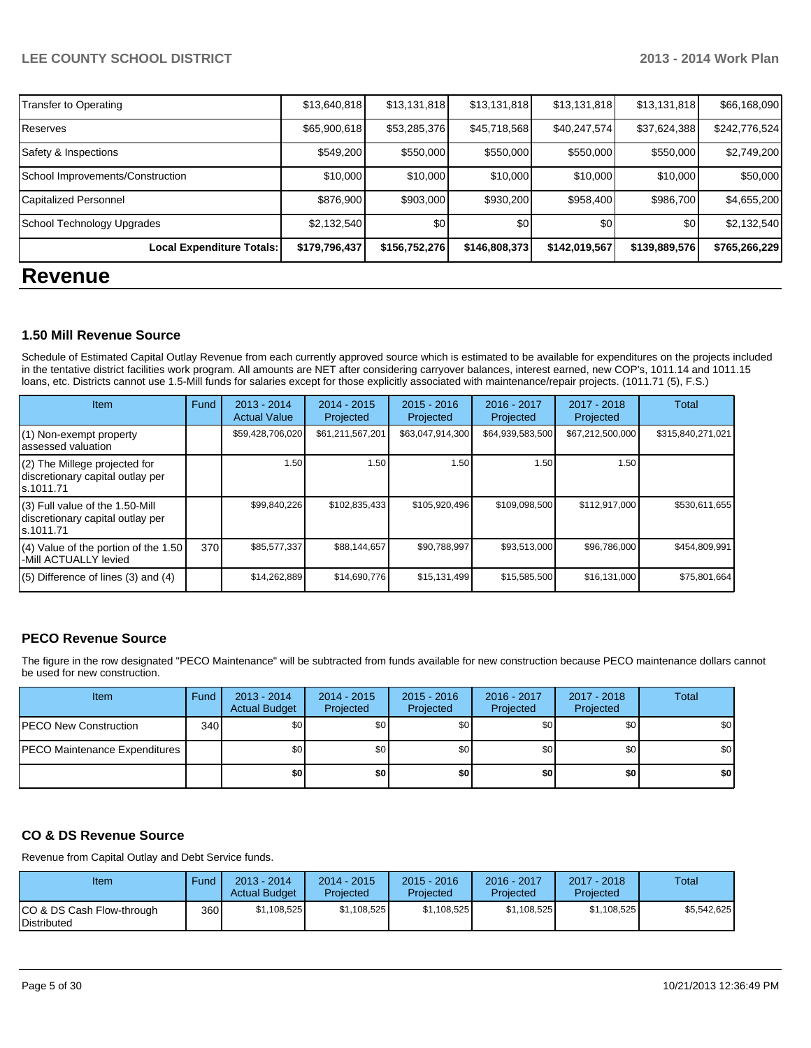| \$179,796,437<br>Local Expenditure Totals: | \$156,752,276 | \$146,808,373                                                                     | \$142,019,567                                                      | \$139,889,576 | \$765,266,229                                                                                                             |
|--------------------------------------------|---------------|-----------------------------------------------------------------------------------|--------------------------------------------------------------------|---------------|---------------------------------------------------------------------------------------------------------------------------|
|                                            |               |                                                                                   |                                                                    |               |                                                                                                                           |
|                                            | \$0           | \$0                                                                               | \$0                                                                | \$0           | \$2,132,540                                                                                                               |
|                                            |               | \$930,200                                                                         |                                                                    |               | \$4,655,200                                                                                                               |
|                                            |               | \$10,000                                                                          |                                                                    |               | \$50,000                                                                                                                  |
|                                            |               | \$550,000                                                                         |                                                                    |               | \$2,749,200                                                                                                               |
|                                            |               | \$45,718,568                                                                      |                                                                    | \$37,624,388  | \$242,776,524                                                                                                             |
|                                            |               |                                                                                   |                                                                    |               | \$66,168,090                                                                                                              |
|                                            |               | \$13,640,818<br>\$65,900,618<br>\$549,200<br>\$10,000<br>\$876,900<br>\$2,132,540 | \$13,131,818<br>\$53,285,376<br>\$550,000<br>\$10,000<br>\$903,000 | \$13,131,818  | \$13,131,818<br>\$13,131,818<br>\$40,247,574]<br>\$550,000<br>\$550,000<br>\$10,000<br>\$10,000<br>\$986,700<br>\$958,400 |

#### **1.50 Mill Revenue Source**

Schedule of Estimated Capital Outlay Revenue from each currently approved source which is estimated to be available for expenditures on the projects included in the tentative district facilities work program. All amounts are NET after considering carryover balances, interest earned, new COP's, 1011.14 and 1011.15 loans, etc. Districts cannot use 1.5-Mill funds for salaries except for those explicitly associated with maintenance/repair projects. (1011.71 (5), F.S.)

| Item                                                                                | Fund | $2013 - 2014$<br><b>Actual Value</b> | $2014 - 2015$<br>Projected | $2015 - 2016$<br>Projected | 2016 - 2017<br>Projected | $2017 - 2018$<br>Projected | Total             |
|-------------------------------------------------------------------------------------|------|--------------------------------------|----------------------------|----------------------------|--------------------------|----------------------------|-------------------|
| (1) Non-exempt property<br>lassessed valuation                                      |      | \$59,428,706,020                     | \$61,211,567,201           | \$63,047,914,300           | \$64,939,583,500         | \$67,212,500,000           | \$315,840,271,021 |
| (2) The Millege projected for<br>discretionary capital outlay per<br>ls.1011.71     |      | 1.50                                 | 1.50                       | 1.50                       | 1.50                     | 1.50                       |                   |
| $(3)$ Full value of the 1.50-Mill<br>discretionary capital outlay per<br>ls.1011.71 |      | \$99,840,226                         | \$102,835,433              | \$105,920,496              | \$109,098,500            | \$112,917,000              | \$530,611,655     |
| $(4)$ Value of the portion of the 1.50<br>-Mill ACTUALLY levied                     | 370  | \$85,577,337                         | \$88,144,657               | \$90,788,997               | \$93,513,000             | \$96,786,000               | \$454,809,991     |
| $(5)$ Difference of lines $(3)$ and $(4)$                                           |      | \$14,262,889                         | \$14,690,776               | \$15,131,499               | \$15,585,500             | \$16,131,000               | \$75,801,664      |

#### **PECO Revenue Source**

The figure in the row designated "PECO Maintenance" will be subtracted from funds available for new construction because PECO maintenance dollars cannot be used for new construction.

| Item                          | Fund | $2013 - 2014$<br><b>Actual Budget</b> | $2014 - 2015$<br>Projected | $2015 - 2016$<br>Projected | 2016 - 2017<br>Projected | 2017 - 2018<br>Projected | Total            |
|-------------------------------|------|---------------------------------------|----------------------------|----------------------------|--------------------------|--------------------------|------------------|
| PECO New Construction         | 340  | \$0                                   | \$0                        | \$0                        | \$OI                     | \$0                      | \$0 <sub>1</sub> |
| PECO Maintenance Expenditures |      | \$0                                   | \$0                        | \$0                        | \$0                      | \$0                      | \$0 <sub>1</sub> |
|                               |      | \$0                                   | \$0                        | \$0                        | \$0 I                    | \$0                      | \$0              |

#### **CO & DS Revenue Source**

Revenue from Capital Outlay and Debt Service funds.

| Item                                            | Fund | $2013 - 2014$<br><b>Actual Budget</b> | $2014 - 2015$<br>Projected | $2015 - 2016$<br>Projected | $2016 - 2017$<br>Projected | $2017 - 2018$<br>Projected | Total       |
|-------------------------------------------------|------|---------------------------------------|----------------------------|----------------------------|----------------------------|----------------------------|-------------|
| CO & DS Cash Flow-through<br><b>Distributed</b> | 360  | \$1.108.525                           | \$1,108,525                | \$1,108,525                | \$1,108,525                | \$1,108,525                | \$5.542.625 |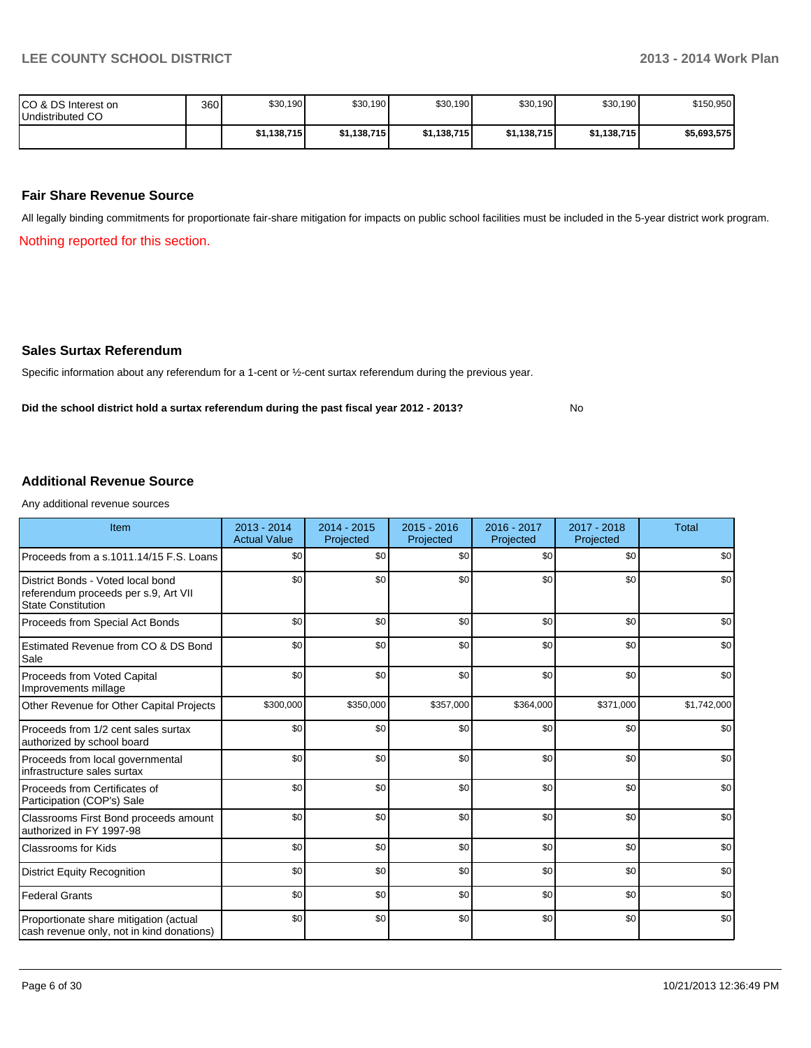No

| ICO & DS Interest on<br>Undistributed CO | 360 | \$30,190    | \$30,190    | \$30,190    | \$30,190    | \$30,190    | \$150,950   |
|------------------------------------------|-----|-------------|-------------|-------------|-------------|-------------|-------------|
|                                          |     | \$1,138,715 | \$1,138,715 | \$1,138,715 | \$1,138,715 | \$1,138,715 | \$5,693,575 |

#### **Fair Share Revenue Source**

All legally binding commitments for proportionate fair-share mitigation for impacts on public school facilities must be included in the 5-year district work program.

Nothing reported for this section.

#### **Sales Surtax Referendum**

Specific information about any referendum for a 1-cent or ½-cent surtax referendum during the previous year.

**Did the school district hold a surtax referendum during the past fiscal year 2012 - 2013?**

#### **Additional Revenue Source**

Any additional revenue sources

| Item                                                                                                   | 2013 - 2014<br><b>Actual Value</b> | $2014 - 2015$<br>Projected | $2015 - 2016$<br>Projected | 2016 - 2017<br>Projected | 2017 - 2018<br>Projected | <b>Total</b> |
|--------------------------------------------------------------------------------------------------------|------------------------------------|----------------------------|----------------------------|--------------------------|--------------------------|--------------|
| Proceeds from a s.1011.14/15 F.S. Loans                                                                | \$0                                | \$0                        | \$0                        | \$0                      | \$0                      | \$0          |
| District Bonds - Voted local bond<br>referendum proceeds per s.9, Art VII<br><b>State Constitution</b> | \$0                                | \$0                        | \$0                        | \$0                      | \$0                      | \$0          |
| Proceeds from Special Act Bonds                                                                        | \$0                                | \$0                        | \$0                        | \$0                      | \$0                      | \$0          |
| Estimated Revenue from CO & DS Bond<br>Sale                                                            | \$0                                | \$0                        | \$0                        | \$0                      | \$0                      | \$0          |
| Proceeds from Voted Capital<br>Improvements millage                                                    | \$0                                | \$0                        | \$0                        | \$0                      | \$0                      | \$0          |
| Other Revenue for Other Capital Projects                                                               | \$300,000                          | \$350,000                  | \$357,000                  | \$364,000                | \$371,000                | \$1,742,000  |
| Proceeds from 1/2 cent sales surtax<br>authorized by school board                                      | \$0                                | \$0                        | \$0                        | \$0                      | \$0                      | \$0          |
| Proceeds from local governmental<br>infrastructure sales surtax                                        | \$0                                | \$0                        | \$0                        | \$0                      | \$0                      | \$0          |
| Proceeds from Certificates of<br>Participation (COP's) Sale                                            | \$0                                | \$0                        | \$0                        | \$0                      | \$0                      | \$0          |
| Classrooms First Bond proceeds amount<br>authorized in FY 1997-98                                      | \$0                                | \$0                        | \$0                        | \$0                      | \$0                      | \$0          |
| <b>Classrooms for Kids</b>                                                                             | \$0                                | \$0                        | \$0                        | \$0                      | \$0                      | \$0          |
| <b>District Equity Recognition</b>                                                                     | \$0                                | \$0                        | \$0                        | \$0                      | \$0                      | \$0          |
| <b>Federal Grants</b>                                                                                  | \$0                                | \$0                        | \$0                        | \$0                      | \$0                      | \$0          |
| Proportionate share mitigation (actual<br>cash revenue only, not in kind donations)                    | \$0                                | \$0                        | \$0                        | \$0                      | \$0                      | \$0          |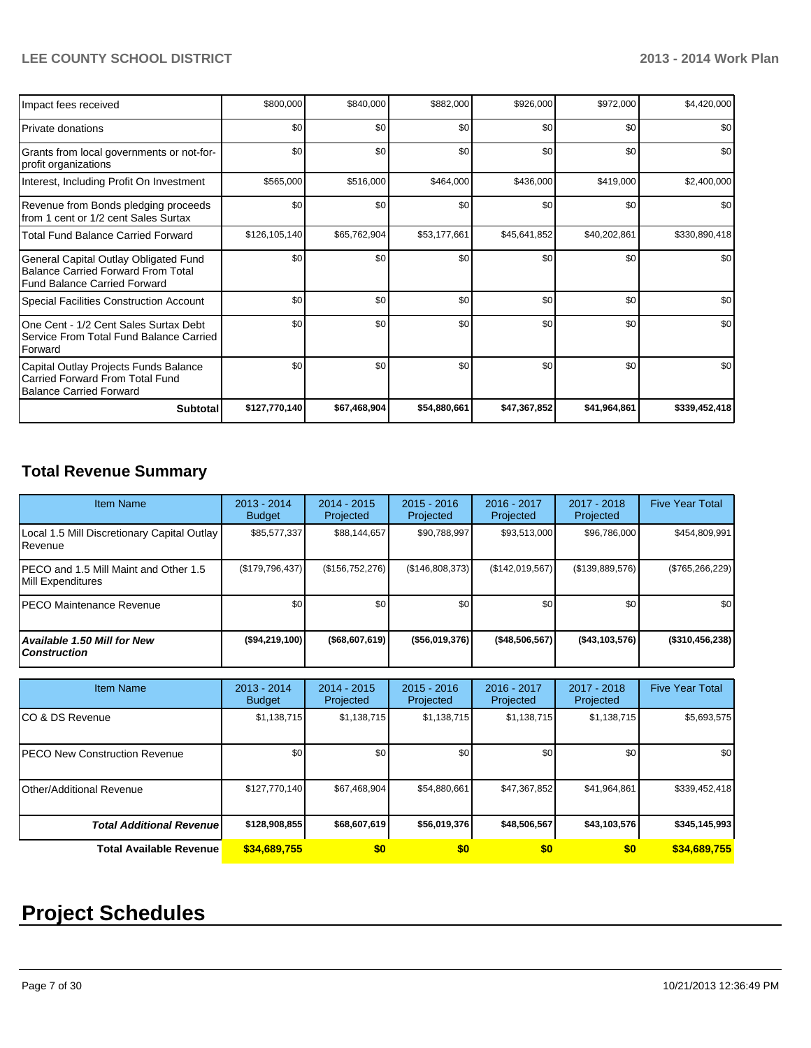| Impact fees received                                                                                                      | \$800,000     | \$840,000    | \$882,000    | \$926,000    | \$972,000    | \$4,420,000   |
|---------------------------------------------------------------------------------------------------------------------------|---------------|--------------|--------------|--------------|--------------|---------------|
| <b>Private donations</b>                                                                                                  | \$0           | \$0          | \$0          | \$0          | \$0          | \$0           |
| Grants from local governments or not-for-<br>profit organizations                                                         | \$0           | \$0          | \$0          | \$0          | \$0          | \$0           |
| Interest, Including Profit On Investment                                                                                  | \$565,000     | \$516,000    | \$464,000    | \$436,000    | \$419,000    | \$2,400,000   |
| Revenue from Bonds pledging proceeds<br>from 1 cent or 1/2 cent Sales Surtax                                              | \$0           | \$0          | \$0          | \$0          | \$0          | \$0           |
| <b>Total Fund Balance Carried Forward</b>                                                                                 | \$126,105,140 | \$65,762,904 | \$53,177,661 | \$45,641,852 | \$40,202,861 | \$330,890,418 |
| General Capital Outlay Obligated Fund<br><b>Balance Carried Forward From Total</b><br><b>Fund Balance Carried Forward</b> | \$0           | \$0          | \$0          | \$0          | \$0          | \$0           |
| <b>Special Facilities Construction Account</b>                                                                            | \$0           | \$0          | \$0          | \$0          | \$0          | \$0           |
| One Cent - 1/2 Cent Sales Surtax Debt<br>Service From Total Fund Balance Carried<br>Forward                               | \$0           | \$0          | \$0          | \$0          | \$0          | \$0           |
| Capital Outlay Projects Funds Balance<br>Carried Forward From Total Fund<br><b>Balance Carried Forward</b>                | \$0           | \$0          | \$0          | \$0          | \$0          | \$0           |
| <b>Subtotal</b>                                                                                                           | \$127,770,140 | \$67,468,904 | \$54,880,661 | \$47,367,852 | \$41,964,861 | \$339,452,418 |

# **Total Revenue Summary**

| <b>Item Name</b>                                           | $2013 - 2014$<br><b>Budget</b> | $2014 - 2015$<br>Projected | $2015 - 2016$<br>Projected | 2016 - 2017<br>Projected | 2017 - 2018<br>Projected | <b>Five Year Total</b> |
|------------------------------------------------------------|--------------------------------|----------------------------|----------------------------|--------------------------|--------------------------|------------------------|
| Local 1.5 Mill Discretionary Capital Outlay<br>Revenue     | \$85,577,337                   | \$88,144,657               | \$90,788,997               | \$93,513,000             | \$96,786,000             | \$454,809,991          |
| PECO and 1.5 Mill Maint and Other 1.5<br>Mill Expenditures | (\$179,796,437)                | (\$156, 752, 276)          | (\$146,808,373)            | (\$142,019,567)          | (\$139,889,576)          | $(\$765,266,229)$      |
| PECO Maintenance Revenue                                   | \$0                            | \$0                        | \$0                        | \$0                      | \$0                      | \$0                    |
| Available 1.50 Mill for New<br><b>Construction</b>         | ( \$94, 219, 100)              | ( \$68,607,619]            | ( \$56,019,376)            | ( \$48,506,567]          | ( \$43, 103, 576)        | (\$310,456,238)        |
| <b>Item Name</b>                                           | $2013 - 2014$<br><b>Budget</b> | $2014 - 2015$<br>Projected | $2015 - 2016$<br>Projected | 2016 - 2017<br>Projected | 2017 - 2018<br>Projected | <b>Five Year Total</b> |
| CO & DS Revenue                                            | \$1,138,715                    | \$1,138,715                | \$1,138,715                | \$1,138,715              | \$1,138,715              | \$5,693,575            |
| <b>PECO New Construction Revenue</b>                       | \$0                            | \$0                        | \$0                        | \$0                      | \$0                      | \$0                    |
| Other/Additional Revenue                                   | \$127,770,140                  | \$67,468,904               | \$54,880,661               | \$47,367,852             | \$41,964,861             | \$339,452,418          |
| <b>Total Additional Revenuel</b>                           | \$128,908,855                  | \$68,607,619               | \$56,019,376               | \$48,506,567             | \$43,103,576             | \$345,145,993          |
| <b>Total Available Revenue</b>                             | \$34.689.755                   | \$0                        | \$0                        | \$0                      | \$0                      | \$34,689,755           |

# **Project Schedules**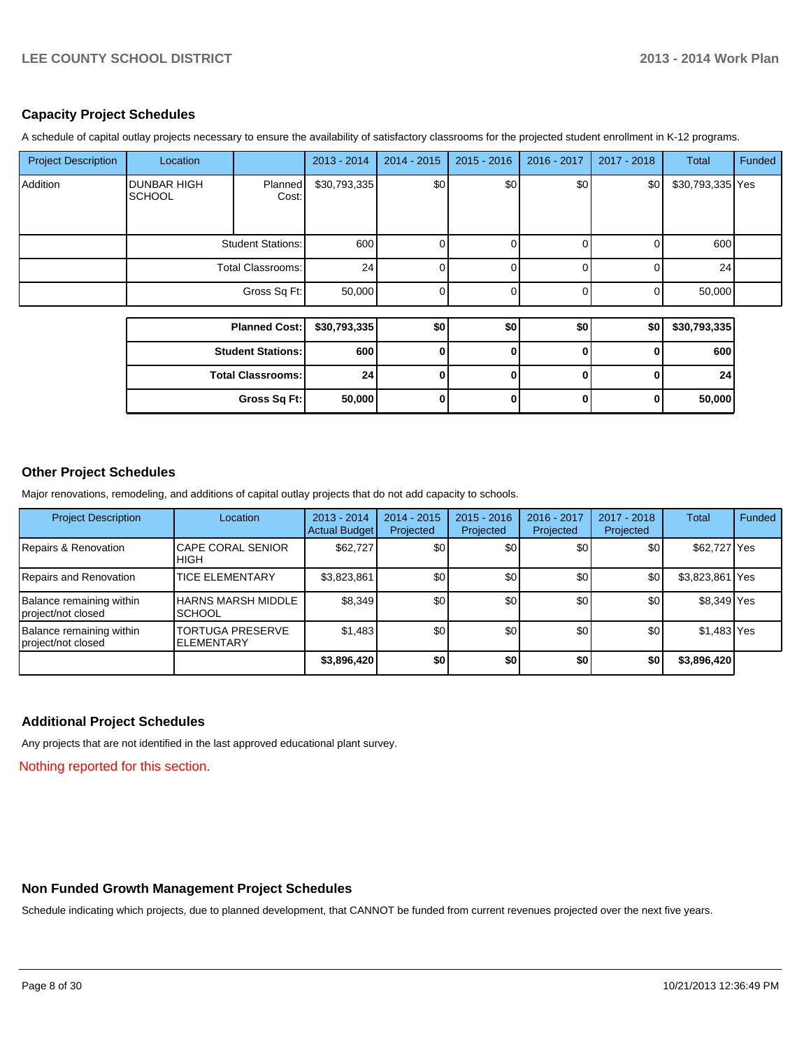#### **Capacity Project Schedules**

A schedule of capital outlay projects necessary to ensure the availability of satisfactory classrooms for the projected student enrollment in K-12 programs.

| <b>Project Description</b> | Location                            |                          | $2013 - 2014$ | 2014 - 2015  | $2015 - 2016$ | 2016 - 2017 | 2017 - 2018    | Total            | Funded |
|----------------------------|-------------------------------------|--------------------------|---------------|--------------|---------------|-------------|----------------|------------------|--------|
| Addition                   | <b>DUNBAR HIGH</b><br><b>SCHOOL</b> | Planned<br>Cost:         | \$30,793,335  | \$0          | \$0           | \$0         | \$0            | \$30,793,335 Yes |        |
|                            |                                     | <b>Student Stations:</b> | 600           |              | $\Omega$      | 0           | 0              | 600              |        |
|                            | <b>Total Classrooms:</b>            |                          | 24            | n            | U             | n           | 0              | 24               |        |
|                            |                                     | Gross Sq Ft:             | 50,000        | ΩI           | $\Omega$      | 0           | $\overline{0}$ | 50,000           |        |
|                            |                                     |                          |               |              |               |             |                |                  |        |
|                            |                                     | <b>Planned Cost:</b>     | \$30,793,335  | \$0          | \$0           | \$0         | \$0            | \$30,793,335     |        |
|                            |                                     | <b>Student Stations:</b> | 600           | <sup>0</sup> | 0             | ŋ           | $\bf{0}$       | 600              |        |
|                            |                                     | <b>Total Classrooms:</b> | 24            | U            | ŋ             | n           | $\bf{0}$       | 24               |        |
|                            |                                     | Gross Sq Ft:             | 50,000        | 0            | 0             | 0           | 0              | 50,000           |        |

#### **Other Project Schedules**

Major renovations, remodeling, and additions of capital outlay projects that do not add capacity to schools.

| <b>Project Description</b>                     | Location                                     | $2013 - 2014$<br><b>Actual Budget</b> | $2014 - 2015$<br>Projected | $2015 - 2016$<br>Projected | 2016 - 2017<br>Projected | $2017 - 2018$<br>Projected | Total           | Funded |
|------------------------------------------------|----------------------------------------------|---------------------------------------|----------------------------|----------------------------|--------------------------|----------------------------|-----------------|--------|
| Repairs & Renovation                           | <b>CAPE CORAL SENIOR</b><br><b>HIGH</b>      | \$62,727                              | \$0                        | \$0                        | \$0                      | \$0                        | \$62,727 Yes    |        |
| Repairs and Renovation                         | <b>TICE ELEMENTARY</b>                       | \$3,823,861                           | \$0                        | \$0                        | \$0                      | \$0                        | \$3,823,861 Yes |        |
| Balance remaining within<br>project/not closed | HARNS MARSH MIDDLE<br><b>SCHOOL</b>          | \$8,349                               | \$0                        | \$0                        | \$0                      | \$0                        | \$8,349 Yes     |        |
| Balance remaining within<br>project/not closed | <b>TORTUGA PRESERVE</b><br><b>ELEMENTARY</b> | \$1,483                               | \$0                        | \$0 <sub>1</sub>           | \$0                      | \$0                        | \$1,483 Yes     |        |
|                                                |                                              | \$3,896,420                           | \$0                        | \$0                        | \$0                      | \$0                        | \$3,896,420     |        |

#### **Additional Project Schedules**

Any projects that are not identified in the last approved educational plant survey.

Nothing reported for this section.

#### **Non Funded Growth Management Project Schedules**

Schedule indicating which projects, due to planned development, that CANNOT be funded from current revenues projected over the next five years.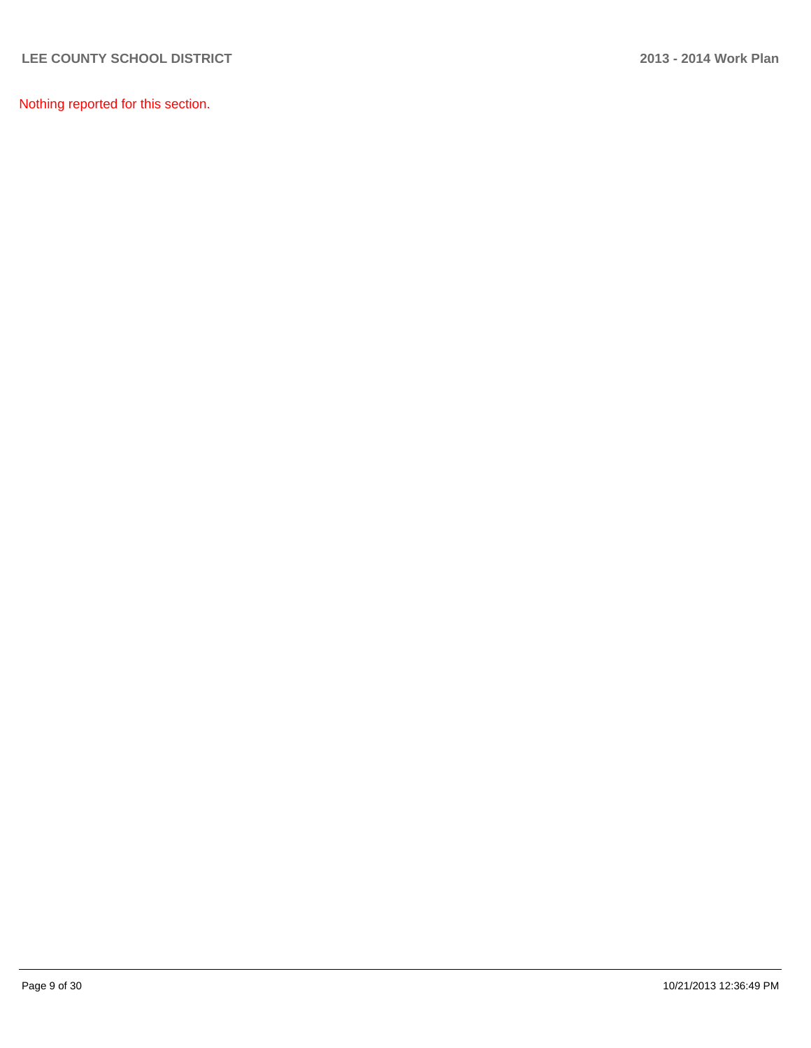Nothing reported for this section.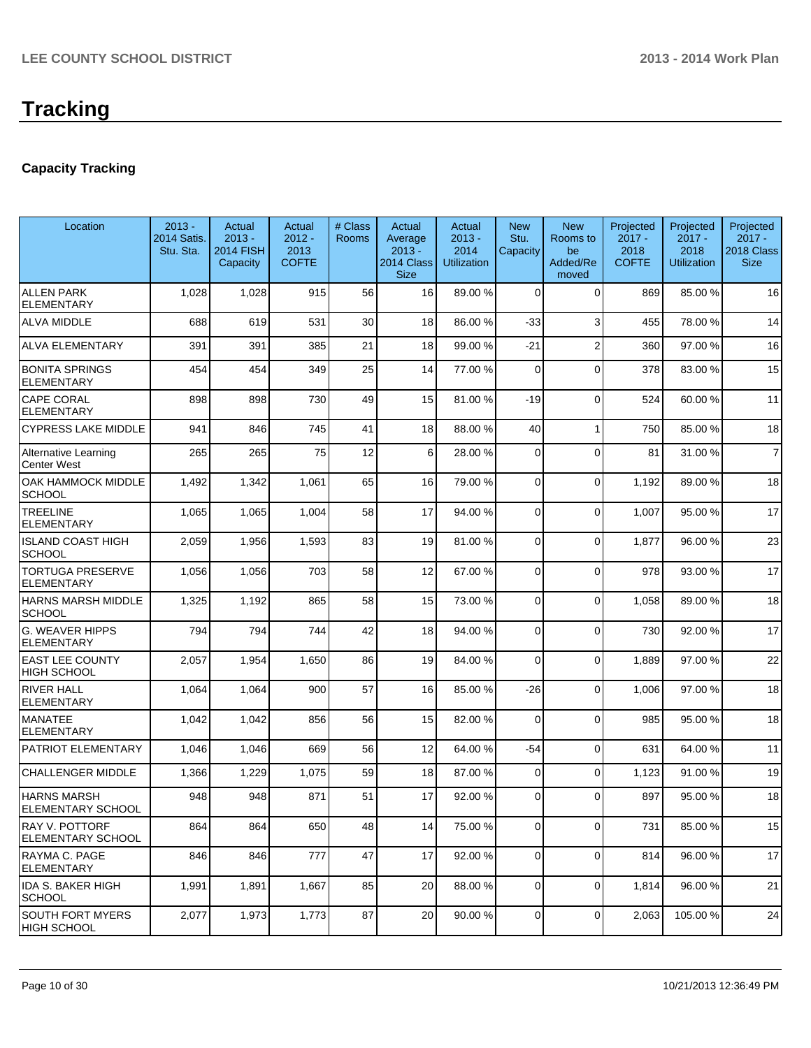## **Capacity Tracking**

| Location                                     | $2013 -$<br>2014 Satis.<br>Stu. Sta. | Actual<br>$2013 -$<br><b>2014 FISH</b><br>Capacity | Actual<br>$2012 -$<br>2013<br><b>COFTE</b> | # Class<br><b>Rooms</b> | Actual<br>Average<br>$2013 -$<br>2014 Class<br><b>Size</b> | Actual<br>$2013 -$<br>2014<br><b>Utilization</b> | <b>New</b><br>Stu.<br>Capacity | <b>New</b><br>Rooms to<br>be<br>Added/Re<br>moved | Projected<br>$2017 -$<br>2018<br><b>COFTE</b> | Projected<br>$2017 -$<br>2018<br><b>Utilization</b> | Projected<br>$2017 -$<br>2018 Class<br><b>Size</b> |
|----------------------------------------------|--------------------------------------|----------------------------------------------------|--------------------------------------------|-------------------------|------------------------------------------------------------|--------------------------------------------------|--------------------------------|---------------------------------------------------|-----------------------------------------------|-----------------------------------------------------|----------------------------------------------------|
| <b>ALLEN PARK</b><br><b>ELEMENTARY</b>       | 1,028                                | 1,028                                              | 915                                        | 56                      | 16                                                         | 89.00 %                                          | $\Omega$                       | $\Omega$                                          | 869                                           | 85.00 %                                             | 16                                                 |
| <b>ALVA MIDDLE</b>                           | 688                                  | 619                                                | 531                                        | 30                      | 18                                                         | 86.00 %                                          | $-33$                          | 3                                                 | 455                                           | 78.00 %                                             | 14                                                 |
| <b>ALVA ELEMENTARY</b>                       | 391                                  | 391                                                | 385                                        | 21                      | 18                                                         | 99.00 %                                          | $-21$                          | $\overline{2}$                                    | 360                                           | 97.00 %                                             | 16                                                 |
| <b>BONITA SPRINGS</b><br><b>ELEMENTARY</b>   | 454                                  | 454                                                | 349                                        | 25                      | 14                                                         | 77.00 %                                          | $\Omega$                       | $\Omega$                                          | 378                                           | 83.00 %                                             | 15                                                 |
| CAPE CORAL<br><b>ELEMENTARY</b>              | 898                                  | 898                                                | 730                                        | 49                      | 15                                                         | 81.00 %                                          | $-19$                          | $\Omega$                                          | 524                                           | 60.00%                                              | 11                                                 |
| <b>CYPRESS LAKE MIDDLE</b>                   | 941                                  | 846                                                | 745                                        | 41                      | 18                                                         | 88.00 %                                          | 40                             | $\mathbf{1}$                                      | 750                                           | 85.00 %                                             | 18                                                 |
| <b>Alternative Learning</b><br>Center West   | 265                                  | 265                                                | 75                                         | 12                      | 6 <sup>1</sup>                                             | 28.00 %                                          | 0                              | $\Omega$                                          | 81                                            | 31.00 %                                             | $\overline{7}$                                     |
| OAK HAMMOCK MIDDLE<br><b>SCHOOL</b>          | 1,492                                | 1,342                                              | 1,061                                      | 65                      | 16                                                         | 79.00 %                                          | 0                              | $\Omega$                                          | 1,192                                         | 89.00%                                              | 18                                                 |
| <b>TREELINE</b><br><b>ELEMENTARY</b>         | 1,065                                | 1,065                                              | 1,004                                      | 58                      | 17                                                         | 94.00 %                                          | 0                              | $\Omega$                                          | 1,007                                         | 95.00 %                                             | 17                                                 |
| <b>ISLAND COAST HIGH</b><br>SCHOOL           | 2,059                                | 1,956                                              | 1,593                                      | 83                      | 19                                                         | 81.00 %                                          | 0                              | $\Omega$                                          | 1,877                                         | 96.00%                                              | 23                                                 |
| <b>TORTUGA PRESERVE</b><br><b>ELEMENTARY</b> | 1,056                                | 1,056                                              | 703                                        | 58                      | 12                                                         | 67.00 %                                          | 0                              | $\Omega$                                          | 978                                           | 93.00 %                                             | 17                                                 |
| HARNS MARSH MIDDLE<br><b>SCHOOL</b>          | 1,325                                | 1,192                                              | 865                                        | 58                      | 15                                                         | 73.00 %                                          | 0                              | $\Omega$                                          | 1,058                                         | 89.00 %                                             | 18                                                 |
| G. WEAVER HIPPS<br>ELEMENTARY                | 794                                  | 794                                                | 744                                        | 42                      | 18                                                         | 94.00 %                                          | 0                              | $\Omega$                                          | 730                                           | 92.00 %                                             | 17                                                 |
| <b>EAST LEE COUNTY</b><br>HIGH SCHOOL        | 2,057                                | 1,954                                              | 1,650                                      | 86                      | 19                                                         | 84.00 %                                          | 0                              | $\Omega$                                          | 1,889                                         | 97.00 %                                             | 22                                                 |
| <b>RIVER HALL</b><br>ELEMENTARY              | 1,064                                | 1,064                                              | 900                                        | 57                      | 16                                                         | 85.00 %                                          | $-26$                          | $\Omega$                                          | 1,006                                         | 97.00 %                                             | 18                                                 |
| <b>MANATEE</b><br><b>ELEMENTARY</b>          | 1,042                                | 1,042                                              | 856                                        | 56                      | 15                                                         | 82.00 %                                          | $\Omega$                       | $\Omega$                                          | 985                                           | 95.00 %                                             | 18                                                 |
| PATRIOT ELEMENTARY                           | 1,046                                | 1,046                                              | 669                                        | 56                      | 12                                                         | 64.00 %                                          | $-54$                          | $\Omega$                                          | 631                                           | 64.00%                                              | 11                                                 |
| <b>CHALLENGER MIDDLE</b>                     | 1,366                                | 1,229                                              | 1,075                                      | 59                      | 18                                                         | 87.00 %                                          | 0                              | $\Omega$                                          | 1,123                                         | 91.00%                                              | 19                                                 |
| <b>HARNS MARSH</b><br>ELEMENTARY SCHOOL      | 948                                  | 948                                                | 871                                        | 51                      | 17                                                         | 92.00 %                                          | $\Omega$                       | $\Omega$                                          | 897                                           | 95.00 %                                             | 18                                                 |
| RAY V. POTTORF<br><b>ELEMENTARY SCHOOL</b>   | 864                                  | 864                                                | 650                                        | 48                      | 14                                                         | 75.00 %                                          | 0                              | $\Omega$                                          | 731                                           | 85.00 %                                             | 15                                                 |
| RAYMA C. PAGE<br><b>ELEMENTARY</b>           | 846                                  | 846                                                | 777                                        | 47                      | 17                                                         | 92.00 %                                          | $\overline{0}$                 | $\Omega$                                          | 814                                           | 96.00%                                              | 17                                                 |
| IDA S. BAKER HIGH<br>SCHOOL                  | 1,991                                | 1,891                                              | 1,667                                      | 85                      | 20                                                         | 88.00 %                                          | 0                              | $\overline{0}$                                    | 1,814                                         | 96.00 %                                             | 21                                                 |
| SOUTH FORT MYERS<br>HIGH SCHOOL              | 2,077                                | 1,973                                              | 1,773                                      | 87                      | 20                                                         | 90.00 %                                          | 0                              | $\overline{0}$                                    | 2,063                                         | 105.00 %                                            | 24                                                 |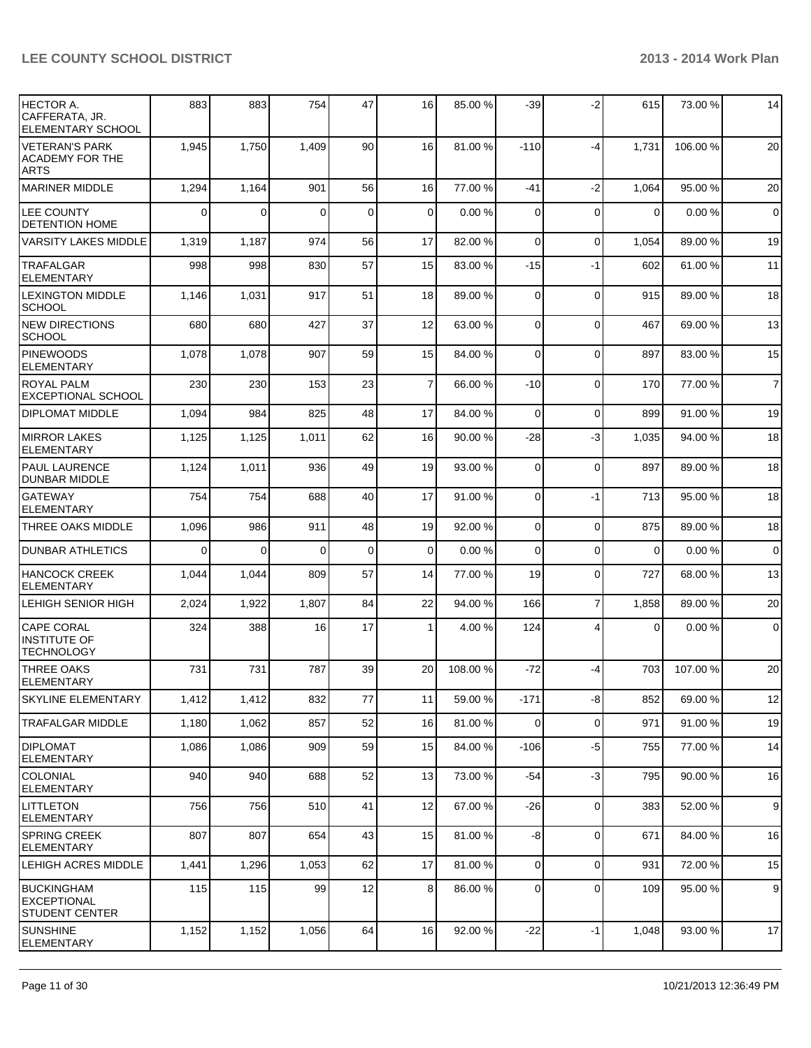| <b>HECTOR A.</b><br>CAFFERATA, JR.<br><b>ELEMENTARY SCHOOL</b> | 883         | 883      | 754      | 47          | 16              | 85.00 %  | $-39$          | $-2$           | 615            | 73.00 %  | 14             |
|----------------------------------------------------------------|-------------|----------|----------|-------------|-----------------|----------|----------------|----------------|----------------|----------|----------------|
| <b>VETERAN'S PARK</b><br><b>ACADEMY FOR THE</b><br><b>ARTS</b> | 1,945       | 1,750    | 1,409    | 90          | 16 <sup>1</sup> | 81.00 %  | $-110$         | -4             | 1,731          | 106.00%  | 20             |
| MARINER MIDDLE                                                 | 1,294       | 1,164    | 901      | 56          | 16              | 77.00 %  | $-41$          | $-2$           | 1,064          | 95.00 %  | 20             |
| <b>LEE COUNTY</b><br><b>DETENTION HOME</b>                     | $\mathbf 0$ | $\Omega$ | $\Omega$ | $\mathbf 0$ | $\overline{0}$  | 0.00%    | $\Omega$       | $\Omega$       | $\overline{0}$ | 0.00%    | $\overline{0}$ |
| <b>VARSITY LAKES MIDDLE</b>                                    | 1,319       | 1,187    | 974      | 56          | 17              | 82.00 %  | $\Omega$       | $\Omega$       | 1,054          | 89.00 %  | 19             |
| <b>ITRAFALGAR</b><br><b>ELEMENTARY</b>                         | 998         | 998      | 830      | 57          | 15              | 83.00 %  | $-15$          | $-1$           | 602            | 61.00%   | 11             |
| <b>LEXINGTON MIDDLE</b><br><b>SCHOOL</b>                       | 1,146       | 1,031    | 917      | 51          | 18              | 89.00 %  | $\Omega$       | $\mathbf 0$    | 915            | 89.00 %  | 18             |
| NEW DIRECTIONS<br> SCHOOL                                      | 680         | 680      | 427      | 37          | 12              | 63.00 %  | $\overline{0}$ | $\mathbf 0$    | 467            | 69.00 %  | 13             |
| <b>PINEWOODS</b><br><b>ELEMENTARY</b>                          | 1,078       | 1,078    | 907      | 59          | 15              | 84.00 %  | $\overline{0}$ | 0              | 897            | 83.00 %  | 15             |
| <b>ROYAL PALM</b><br><b>EXCEPTIONAL SCHOOL</b>                 | 230         | 230      | 153      | 23          | $\overline{7}$  | 66.00 %  | $-10$          | 0              | 170            | 77.00 %  | $\overline{7}$ |
| <b>DIPLOMAT MIDDLE</b>                                         | 1,094       | 984      | 825      | 48          | 17              | 84.00 %  | $\Omega$       | $\mathbf 0$    | 899            | 91.00%   | 19             |
| <b>MIRROR LAKES</b><br>ELEMENTARY                              | 1,125       | 1,125    | 1,011    | 62          | 16              | 90.00 %  | $-28$          | -3             | 1,035          | 94.00%   | 18             |
| <b>PAUL LAURENCE</b><br><b>DUNBAR MIDDLE</b>                   | 1,124       | 1,011    | 936      | 49          | 19              | 93.00 %  | $\overline{0}$ | $\mathbf 0$    | 897            | 89.00 %  | 18             |
| lgateway<br><b>ELEMENTARY</b>                                  | 754         | 754      | 688      | 40          | 17              | 91.00 %  | $\overline{0}$ | -1             | 713            | 95.00 %  | 18             |
| THREE OAKS MIDDLE                                              | 1,096       | 986      | 911      | 48          | 19              | 92.00 %  | $\overline{0}$ | 0              | 875            | 89.00 %  | 18             |
| <b>DUNBAR ATHLETICS</b>                                        | $\Omega$    | $\Omega$ | $\Omega$ | $\mathbf 0$ | $\Omega$        | 0.00%    | $\Omega$       | 0              | 0              | 0.00%    | $\mathbf 0$    |
| <b>HANCOCK CREEK</b><br><b>ELEMENTARY</b>                      | 1,044       | 1,044    | 809      | 57          | 14              | 77.00 %  | 19             | $\mathbf 0$    | 727            | 68.00 %  | 13             |
| LEHIGH SENIOR HIGH                                             | 2,024       | 1,922    | 1,807    | 84          | 22              | 94.00 %  | 166            | $\overline{7}$ | 1,858          | 89.00 %  | 20             |
| <b>CAPE CORAL</b><br><b>INSTITUTE OF</b><br><b>TECHNOLOGY</b>  | 324         | 388      | 16       | 17          | 1               | 4.00 %   | 124            | $\overline{4}$ | $\mathbf 0$    | 0.00%    | $\overline{0}$ |
| <b>THREE OAKS</b><br>ELEMENTARY                                | 731         | 731      | 787      | 39          | 20              | 108.00 % | $-72$          | -4             | 703            | 107.00 % | 20             |
| SKYLINE ELEMENTARY                                             | 1,412       | 1,412    | 832      | 77          | 11              | 59.00 %  | $-171$         | $-8$           | 852            | 69.00 %  | 12             |
| TRAFALGAR MIDDLE                                               | 1,180       | 1,062    | 857      | 52          | 16              | 81.00 %  | $\overline{0}$ | 0              | 971            | 91.00%   | 19             |
| <b>DIPLOMAT</b><br>ELEMENTARY                                  | 1,086       | 1,086    | 909      | 59          | 15              | 84.00 %  | $-106$         | $-5$           | 755            | 77.00 %  | 14             |
| ICOLONIAL<br>ELEMENTARY                                        | 940         | 940      | 688      | 52          | 13              | 73.00 %  | $-54$          | $-3$           | 795            | 90.00 %  | 16             |
| <b>LITTLETON</b><br>ELEMENTARY                                 | 756         | 756      | 510      | 41          | 12              | 67.00 %  | $-26$          | $\mathbf 0$    | 383            | 52.00 %  | $9\,$          |
| <b>SPRING CREEK</b><br><b>ELEMENTARY</b>                       | 807         | 807      | 654      | 43          | 15              | 81.00 %  | -8             | $\mathbf 0$    | 671            | 84.00%   | 16             |
| LEHIGH ACRES MIDDLE                                            | 1,441       | 1,296    | 1,053    | 62          | 17              | 81.00 %  | $\overline{0}$ | 0              | 931            | 72.00 %  | 15             |
| <b>BUCKINGHAM</b><br>EXCEPTIONAL<br><b>STUDENT CENTER</b>      | 115         | 115      | 99       | 12          | 8 <sup>1</sup>  | 86.00 %  | $\overline{0}$ | 0              | 109            | 95.00 %  | $9\,$          |
| <b>SUNSHINE</b><br>ELEMENTARY                                  | 1,152       | 1,152    | 1,056    | 64          | 16              | 92.00 %  | $-22$          | $-1$           | 1,048          | 93.00 %  | 17             |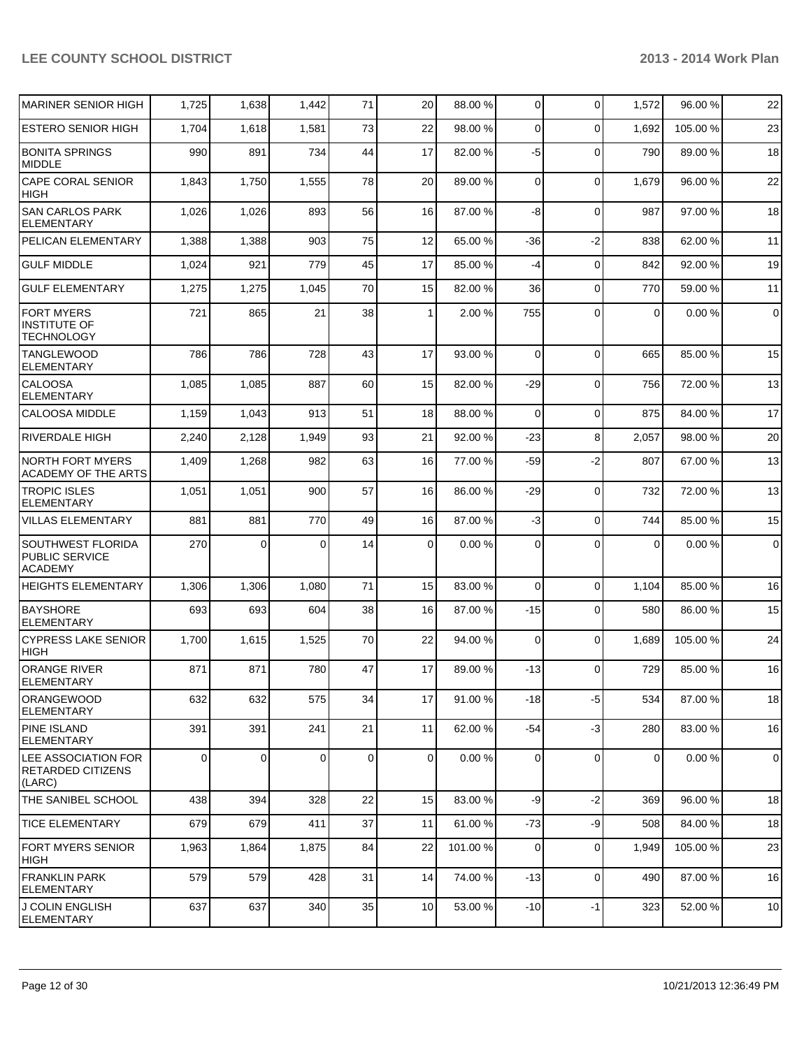| <b>MARINER SENIOR HIGH</b>                                       | 1,725       | 1,638          | 1,442    | 71          | 20             | 88.00 % | 0           | $\Omega$    | 1,572          | 96.00 %  | 22          |
|------------------------------------------------------------------|-------------|----------------|----------|-------------|----------------|---------|-------------|-------------|----------------|----------|-------------|
| <b>ESTERO SENIOR HIGH</b>                                        | 1,704       | 1,618          | 1,581    | 73          | 22             | 98.00 % | $\Omega$    | $\Omega$    | 1,692          | 105.00 % | 23          |
| <b>BONITA SPRINGS</b><br>MIDDLE                                  | 990         | 891            | 734      | 44          | 17             | 82.00 % | $-5$        | $\Omega$    | 790            | 89.00 %  | 18          |
| CAPE CORAL SENIOR<br><b>HIGH</b>                                 | 1,843       | 1,750          | 1,555    | 78          | 20             | 89.00 % | $\mathbf 0$ | $\mathbf 0$ | 1,679          | 96.00%   | 22          |
| <b>SAN CARLOS PARK</b><br><b>ELEMENTARY</b>                      | 1,026       | 1,026          | 893      | 56          | 16             | 87.00 % | -8          | $\Omega$    | 987            | 97.00 %  | 18          |
| PELICAN ELEMENTARY                                               | 1,388       | 1,388          | 903      | 75          | 12             | 65.00 % | -36         | $-2$        | 838            | 62.00 %  | 11          |
| <b>GULF MIDDLE</b>                                               | 1,024       | 921            | 779      | 45          | 17             | 85.00 % | $-4$        | $\Omega$    | 842            | 92.00 %  | 19          |
| <b>GULF ELEMENTARY</b>                                           | 1,275       | 1,275          | 1,045    | 70          | 15             | 82.00 % | 36          | $\Omega$    | 770            | 59.00 %  | 11          |
| <b>FORT MYERS</b><br><b>INSTITUTE OF</b><br><b>TECHNOLOGY</b>    | 721         | 865            | 21       | 38          | 1              | 2.00%   | 755         | $\Omega$    | 0              | 0.00%    | $\mathbf 0$ |
| <b>TANGLEWOOD</b><br><b>ELEMENTARY</b>                           | 786         | 786            | 728      | 43          | 17             | 93.00 % | $\mathbf 0$ | $\Omega$    | 665            | 85.00 %  | 15          |
| <b>CALOOSA</b><br><b>ELEMENTARY</b>                              | 1,085       | 1,085          | 887      | 60          | 15             | 82.00 % | $-29$       | $\Omega$    | 756            | 72.00 %  | 13          |
| CALOOSA MIDDLE                                                   | 1,159       | 1,043          | 913      | 51          | 18             | 88.00 % | $\mathbf 0$ | $\Omega$    | 875            | 84.00%   | 17          |
| <b>RIVERDALE HIGH</b>                                            | 2,240       | 2,128          | 1,949    | 93          | 21             | 92.00 % | $-23$       | 8           | 2,057          | 98.00 %  | 20          |
| <b>NORTH FORT MYERS</b><br><b>ACADEMY OF THE ARTS</b>            | 1,409       | 1,268          | 982      | 63          | 16             | 77.00 % | -59         | $-2$        | 807            | 67.00 %  | 13          |
| <b>TROPIC ISLES</b><br><b>ELEMENTARY</b>                         | 1,051       | 1,051          | 900      | 57          | 16             | 86.00 % | -29         | $\Omega$    | 732            | 72.00 %  | 13          |
| <b>VILLAS ELEMENTARY</b>                                         | 881         | 881            | 770      | 49          | 16             | 87.00 % | $-3$        | $\Omega$    | 744            | 85.00 %  | 15          |
| <b>SOUTHWEST FLORIDA</b><br>PUBLIC SERVICE<br><b>ACADEMY</b>     | 270         | $\Omega$       | 0        | 14          | 0              | 0.00%   | $\Omega$    | $\Omega$    | $\Omega$       | 0.00%    | $\pmb{0}$   |
| <b>HEIGHTS ELEMENTARY</b>                                        | 1,306       | 1,306          | 1,080    | 71          | 15             | 83.00 % | $\mathbf 0$ | $\Omega$    | 1,104          | 85.00 %  | 16          |
| <b>BAYSHORE</b><br><b>ELEMENTARY</b>                             | 693         | 693            | 604      | 38          | 16             | 87.00 % | $-15$       | $\Omega$    | 580            | 86.00 %  | 15          |
| <b>CYPRESS LAKE SENIOR</b><br><b>HIGH</b>                        | 1,700       | 1,615          | 1,525    | 70          | 22             | 94.00 % | 0           | $\Omega$    | 1,689          | 105.00%  | 24          |
| <b>ORANGE RIVER</b><br><b>ELEMENTARY</b>                         | 871         | 871            | 780      | 47          | 17             | 89.00 % | $-13$       | $\Omega$    | 729            | 85.00 %  | 16          |
| <b>ORANGEWOOD</b><br>ELEMENTARY                                  | 632         | 632            | 575      | 34          | 17             | 91.00%  | $-18$       | -5          | 534            | 87.00 %  | 18          |
| <b>PINE ISLAND</b><br><b>ELEMENTARY</b>                          | 391         | 391            | 241      | 21          | 11             | 62.00 % | $-54$       | $-3$        | 280            | 83.00 %  | 16          |
| <b>LEE ASSOCIATION FOR</b><br><b>RETARDED CITIZENS</b><br>(LARC) | $\mathbf 0$ | $\overline{0}$ | $\Omega$ | $\mathbf 0$ | $\overline{0}$ | 0.00%   | 0           | 0           | $\overline{0}$ | 0.00%    | $\mathbf 0$ |
| THE SANIBEL SCHOOL                                               | 438         | 394            | 328      | 22          | 15             | 83.00 % | $-9$        | $-2$        | 369            | 96.00%   | 18          |
| <b>TICE ELEMENTARY</b>                                           | 679         | 679            | 411      | 37          | 11             | 61.00 % | $-73$       | -9          | 508            | 84.00 %  | 18          |
| FORT MYERS SENIOR<br>HIGH                                        | 1,963       | 1,864          | 1,875    | 84          | 22             | 101.00% | 0           | 0           | 1,949          | 105.00 % | 23          |
| <b>FRANKLIN PARK</b><br><b>ELEMENTARY</b>                        | 579         | 579            | 428      | 31          | 14             | 74.00 % | $-13$       | $\mathbf 0$ | 490            | 87.00%   | 16          |
| J COLIN ENGLISH<br>ELEMENTARY                                    | 637         | 637            | 340      | 35          | 10             | 53.00 % | $-10$       | $-1$        | 323            | 52.00 %  | 10          |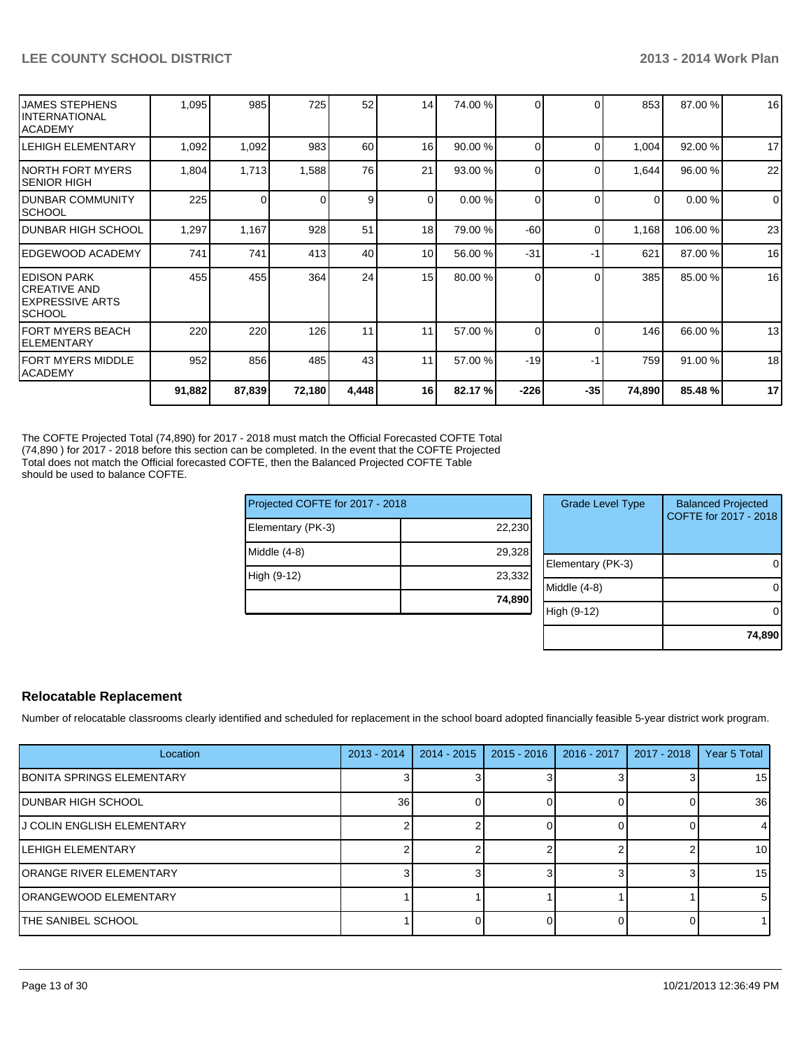| IFORT MYERS MIDDLE<br><b>ACADEMY</b>                               | 220<br>952 | 220<br>856 | 126<br>485 | 11<br>43       | 11<br>11        | 57.00 %<br>57.00 % | $\Omega$<br>$-19$ | $\Omega$<br>-1 | 146<br>759 | 66.00 %<br>91.00 % | 13<br>18 |
|--------------------------------------------------------------------|------------|------------|------------|----------------|-----------------|--------------------|-------------------|----------------|------------|--------------------|----------|
|                                                                    |            |            |            |                |                 |                    |                   |                |            |                    |          |
| IFORT MYERS BEACH<br>IELEMENTARY                                   |            |            |            |                |                 |                    |                   |                |            |                    |          |
| IEDISON PARK<br>ICREATIVE AND<br>IEXPRESSIVE ARTS<br><b>SCHOOL</b> | 455        | 455        | 364        | 24             | 15              | 80.00 %            | 0                 | ∩              | 385        | 85.00 %            | 16       |
| IEDGEWOOD ACADEMY                                                  | 741        | 741        | 413        | 40             | 10 <sup>1</sup> | 56.00 %            | $-31$             | $-1$           | 621        | 87.00 %            | 16       |
| <b>DUNBAR HIGH SCHOOL</b>                                          | 1,297      | 1,167      | 928        | 51             | 18 <sup>1</sup> | 79.00 %            | $-60$             | $\Omega$       | 1,168      | 106.00 %           | 23       |
| IDUNBAR COMMUNITY<br><b>SCHOOL</b>                                 | 225        | $\Omega$   |            | 9 <sub>l</sub> | $\overline{0}$  | 0.00%              | $\Omega$          | $\Omega$       | $\Omega$   | 0.00%              | $\Omega$ |
| INORTH FORT MYERS<br>ISENIOR HIGH                                  | 1,804      | 1,713      | 1,588      | 76             | 21              | 93.00 %            | $\Omega$          | $\Omega$       | 1,644      | 96.00 %            | 22       |
| <b>LEHIGH ELEMENTARY</b>                                           | 1,092      | 1,092      | 983        | 60             | 16 <sup>1</sup> | 90.00 %            | 0                 | $\Omega$       | 1,004      | 92.00 %            | 17       |
| <b>JAMES STEPHENS</b><br>IINTERNATIONAL<br><b>IACADEMY</b>         | 1,095      | 985        | 725        | 52             | 14              | 74.00 %            | $\Omega$          | $\Omega$       | 853        | 87.00 %            | 16       |

The COFTE Projected Total (74,890) for 2017 - 2018 must match the Official Forecasted COFTE Total (74,890 ) for 2017 - 2018 before this section can be completed. In the event that the COFTE Projected Total does not match the Official forecasted COFTE, then the Balanced Projected COFTE Table should be used to balance COFTE.

| Projected COFTE for 2017 - 2018 |        | <b>Grade Level Type</b> | <b>Balanced Projected</b>       |  |  |  |  |
|---------------------------------|--------|-------------------------|---------------------------------|--|--|--|--|
| Elementary (PK-3)               | 22,230 |                         |                                 |  |  |  |  |
| Middle (4-8)                    | 29,328 |                         | COFTE for 2017 - 2018<br>0<br>0 |  |  |  |  |
|                                 |        | Elementary (PK-3)       |                                 |  |  |  |  |
| High (9-12)                     | 23,332 |                         |                                 |  |  |  |  |
|                                 |        | Middle (4-8)            |                                 |  |  |  |  |
|                                 | 74,890 |                         |                                 |  |  |  |  |
|                                 |        | High (9-12)             | 0                               |  |  |  |  |
|                                 |        |                         |                                 |  |  |  |  |
|                                 |        |                         | 74,890                          |  |  |  |  |

#### **Relocatable Replacement**

Number of relocatable classrooms clearly identified and scheduled for replacement in the school board adopted financially feasible 5-year district work program.

| Location                    | $2013 - 2014$ | $2014 - 2015$ | $2015 - 2016$ | 2016 - 2017 | 2017 - 2018 | Year 5 Total    |
|-----------------------------|---------------|---------------|---------------|-------------|-------------|-----------------|
| BONITA SPRINGS ELEMENTARY   |               |               |               |             |             | 15 <sub>l</sub> |
| IDUNBAR HIGH SCHOOL         | 36            |               |               |             |             | 36 <sup>l</sup> |
| IJ COLIN ENGLISH ELEMENTARY |               |               |               |             |             | 4               |
| ILEHIGH ELEMENTARY          |               |               |               |             |             | 10 <sub>l</sub> |
| IORANGE RIVER ELEMENTARY    |               |               |               |             |             | 15 <sub>l</sub> |
| ORANGEWOOD ELEMENTARY       |               |               |               |             |             | 51              |
| <b>ITHE SANIBEL SCHOOL</b>  |               |               |               |             |             |                 |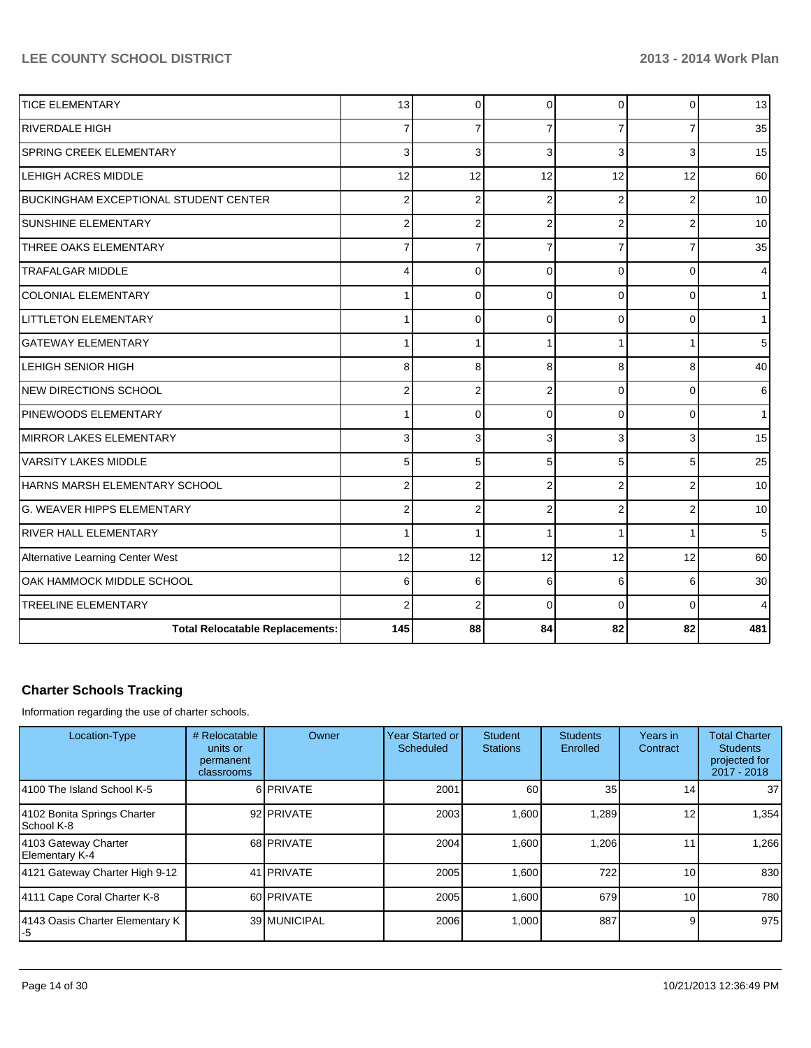| <b>TICE ELEMENTARY</b>                 | 13             | $\Omega$       | $\Omega$       | $\Omega$       | $\Omega$ | 13  |
|----------------------------------------|----------------|----------------|----------------|----------------|----------|-----|
| <b>RIVERDALE HIGH</b>                  | 7              | 7              |                |                |          | 35  |
| SPRING CREEK ELEMENTARY                | 3              | 3              | 3              | 3              |          | 15  |
| LEHIGH ACRES MIDDLE                    | 12             | 12             | 12             | 12             | 12       | 60  |
| BUCKINGHAM EXCEPTIONAL STUDENT CENTER  | $\overline{2}$ | $\overline{2}$ | $\overline{2}$ | $\overline{2}$ | 2        | 10  |
| <b>SUNSHINE ELEMENTARY</b>             | $\overline{2}$ | $\overline{2}$ | $\overline{2}$ | $\overline{2}$ |          | 10  |
| THREE OAKS ELEMENTARY                  | $\overline{7}$ | 7              | 7              | 7              |          | 35  |
| <b>TRAFALGAR MIDDLE</b>                | 4              | 0              | $\Omega$       | $\Omega$       | 0        | 4   |
| <b>COLONIAL ELEMENTARY</b>             |                | $\Omega$       | $\Omega$       | $\Omega$       | $\Omega$ | 1   |
| <b>LITTLETON ELEMENTARY</b>            |                | $\Omega$       | $\Omega$       | $\Omega$       | $\Omega$ | 1   |
| <b>GATEWAY ELEMENTARY</b>              |                |                |                |                |          | 5   |
| LEHIGH SENIOR HIGH                     | 8              | 8              | 8              | 8              | 8        | 40  |
| NEW DIRECTIONS SCHOOL                  | $\overline{2}$ | $\overline{2}$ | $\overline{2}$ | $\Omega$       | $\Omega$ | 6   |
| PINEWOODS ELEMENTARY                   |                | $\Omega$       | $\Omega$       | $\Omega$       | 0        | 1   |
| <b>MIRROR LAKES ELEMENTARY</b>         | 3              | 3              | 3              | 3              |          | 15  |
| <b>VARSITY LAKES MIDDLE</b>            | 5              | 5              | 5              | 5 <sup>1</sup> | 5        | 25  |
| HARNS MARSH ELEMENTARY SCHOOL          | $\overline{2}$ | $\overline{2}$ | $\overline{2}$ | $\overline{2}$ |          | 10  |
| <b>G. WEAVER HIPPS ELEMENTARY</b>      | $\overline{2}$ | $\overline{2}$ | $\overline{2}$ | $\overline{2}$ | 2        | 10  |
| <b>RIVER HALL ELEMENTARY</b>           |                |                |                |                |          | 5   |
| Alternative Learning Center West       | 12             | 12             | 12             | 12             | 12       | 60  |
| OAK HAMMOCK MIDDLE SCHOOL              | 6              | 6              | 6              | 6              | 6        | 30  |
| <b>TREELINE ELEMENTARY</b>             | $\overline{2}$ | $\overline{2}$ | $\Omega$       | $\Omega$       | $\Omega$ | 4   |
| <b>Total Relocatable Replacements:</b> | 145            | 88             | 84             | 82             | 82       | 481 |

## **Charter Schools Tracking**

Information regarding the use of charter schools.

| Location-Type                             | # Relocatable<br>units or<br>permanent<br>classrooms | Owner             | Year Started or<br>Scheduled | <b>Student</b><br><b>Stations</b> | <b>Students</b><br>Enrolled | Years in<br>Contract | <b>Total Charter</b><br><b>Students</b><br>projected for<br>2017 - 2018 |
|-------------------------------------------|------------------------------------------------------|-------------------|------------------------------|-----------------------------------|-----------------------------|----------------------|-------------------------------------------------------------------------|
| 14100 The Island School K-5               |                                                      | 6 <b>PRIVATE</b>  | 2001                         | 60                                | 35 <sup>1</sup>             | 14                   | 37 <sup>1</sup>                                                         |
| 4102 Bonita Springs Charter<br>School K-8 |                                                      | 92 PRIVATE        | 2003                         | 1,600                             | <b>289.</b>                 | 12                   | 1,354                                                                   |
| 4103 Gateway Charter<br>Elementary K-4    |                                                      | 68 PRIVATE        | 2004                         | 1,600                             | 1,206                       |                      | 1,266                                                                   |
| 4121 Gateway Charter High 9-12            |                                                      | 41 <b>PRIVATE</b> | 2005                         | 1.600                             | 722                         | 10                   | 830                                                                     |
| 4111 Cape Coral Charter K-8               |                                                      | 60 PRIVATE        | 2005                         | 1.600                             | 679                         | 10                   | 780                                                                     |
| 4143 Oasis Charter Elementary K<br>l-5    |                                                      | 39 MUNICIPAL      | 2006                         | 1,000                             | 887                         |                      | 975                                                                     |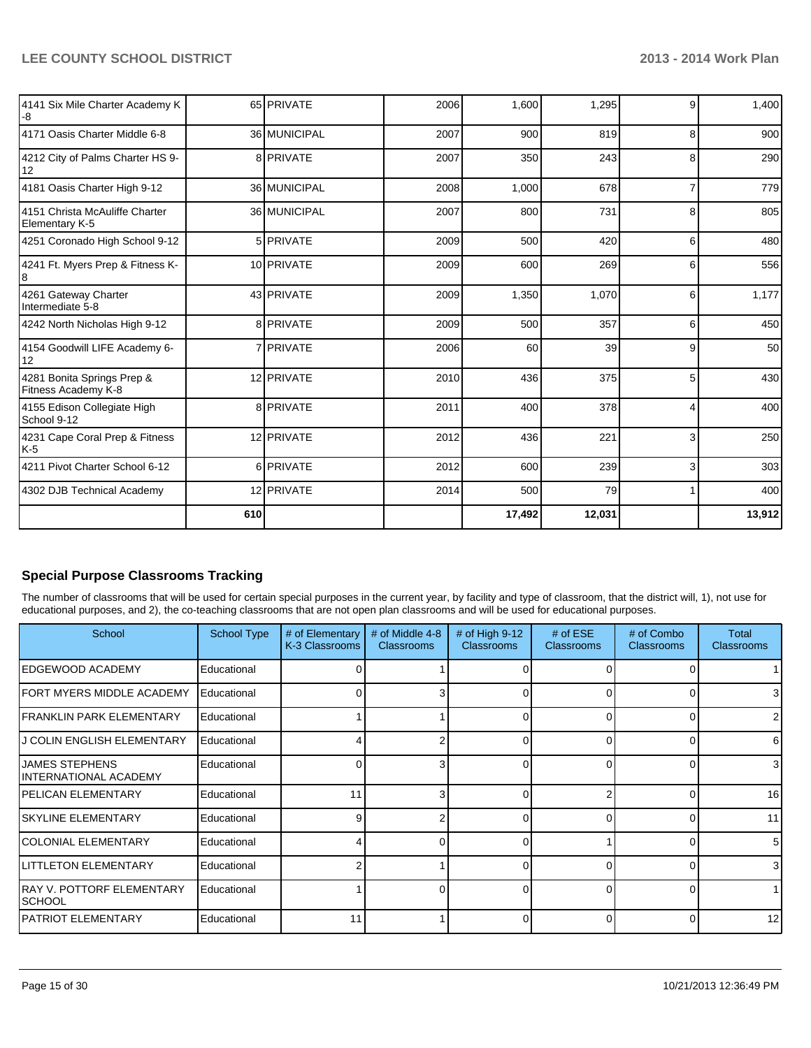| 4141 Six Mile Charter Academy K<br>-8             |     | 65 PRIVATE   | 2006 | 1,600  | 1,295  | 9              | 1,400  |
|---------------------------------------------------|-----|--------------|------|--------|--------|----------------|--------|
| 14171 Oasis Charter Middle 6-8                    |     | 36 MUNICIPAL | 2007 | 900    | 819    | 8              | 900    |
| 4212 City of Palms Charter HS 9-<br>12            |     | 8 PRIVATE    | 2007 | 350    | 243    | 8              | 290    |
| 4181 Oasis Charter High 9-12                      |     | 36 MUNICIPAL | 2008 | 1,000  | 678    | 7              | 779    |
| 4151 Christa McAuliffe Charter<br>Elementary K-5  |     | 36 MUNICIPAL | 2007 | 800    | 731    | 8              | 805    |
| 4251 Coronado High School 9-12                    |     | 5 PRIVATE    | 2009 | 500    | 420    | 6              | 480    |
| 4241 Ft. Myers Prep & Fitness K-                  |     | 10 PRIVATE   | 2009 | 600    | 269    | 6              | 556    |
| 4261 Gateway Charter<br>Intermediate 5-8          |     | 43 PRIVATE   | 2009 | 1,350  | 1,070  | 6              | 1,177  |
| 4242 North Nicholas High 9-12                     |     | 8 PRIVATE    | 2009 | 500    | 357    | $6 \mid$       | 450    |
| 4154 Goodwill LIFE Academy 6-<br>12               |     | 7 PRIVATE    | 2006 | 60     | 39     | 9              | 50     |
| 4281 Bonita Springs Prep &<br>Fitness Academy K-8 |     | 12 PRIVATE   | 2010 | 436    | 375    | 5              | 430    |
| 4155 Edison Collegiate High<br>School 9-12        |     | 8 PRIVATE    | 2011 | 400    | 378    | 4              | 400    |
| 4231 Cape Coral Prep & Fitness<br>K-5             |     | 12 PRIVATE   | 2012 | 436    | 221    | $\overline{3}$ | 250    |
| 4211 Pivot Charter School 6-12                    |     | 6 PRIVATE    | 2012 | 600    | 239    | $\overline{3}$ | 303    |
| 4302 DJB Technical Academy                        |     | 12 PRIVATE   | 2014 | 500    | 79     | $\mathbf{1}$   | 400    |
|                                                   | 610 |              |      | 17,492 | 12,031 |                | 13,912 |

## **Special Purpose Classrooms Tracking**

The number of classrooms that will be used for certain special purposes in the current year, by facility and type of classroom, that the district will, 1), not use for educational purposes, and 2), the co-teaching classrooms that are not open plan classrooms and will be used for educational purposes.

| School                                          | <b>School Type</b> | # of Elementary<br>K-3 Classrooms | # of Middle 4-8<br><b>Classrooms</b> | # of High $9-12$<br><b>Classrooms</b> | $#$ of ESE<br><b>Classrooms</b> | # of Combo<br><b>Classrooms</b> | Total<br><b>Classrooms</b> |
|-------------------------------------------------|--------------------|-----------------------------------|--------------------------------------|---------------------------------------|---------------------------------|---------------------------------|----------------------------|
| IEDGEWOOD ACADEMY                               | Educational        |                                   |                                      |                                       |                                 |                                 |                            |
| FORT MYERS MIDDLE ACADEMY                       | Educational        |                                   |                                      | U                                     | ∩                               | O                               | 3                          |
| <b>IFRANKLIN PARK ELEMENTARY</b>                | Educational        |                                   |                                      | U                                     | $\Omega$                        | $\Omega$                        | 2                          |
| J COLIN ENGLISH ELEMENTARY                      | Educational        |                                   |                                      | 0                                     | $\Omega$                        | $\Omega$                        | 6                          |
| <b>JAMES STEPHENS</b><br>IINTERNATIONAL ACADEMY | Educational        |                                   |                                      | 0                                     | 0                               | 0                               | $\overline{3}$             |
| IPELICAN ELEMENTARY                             | Educational        | 11                                |                                      |                                       |                                 |                                 | 16                         |
| ISKYLINE ELEMENTARY                             | Educational        | c                                 |                                      | n                                     |                                 | U                               | 11                         |
| <b>ICOLONIAL ELEMENTARY</b>                     | Educational        |                                   |                                      | U                                     |                                 | $\Omega$                        | 5                          |
| LITTLETON ELEMENTARY                            | Educational        |                                   |                                      | U                                     | ∩                               | $\Omega$                        | 3                          |
| RAY V. POTTORF ELEMENTARY<br><b>SCHOOL</b>      | Educational        |                                   |                                      | U                                     | $\Omega$                        | $\Omega$                        |                            |
| IPATRIOT ELEMENTARY                             | Educational        | 11                                |                                      |                                       | $\Omega$                        | 0                               | 12 <sub>1</sub>            |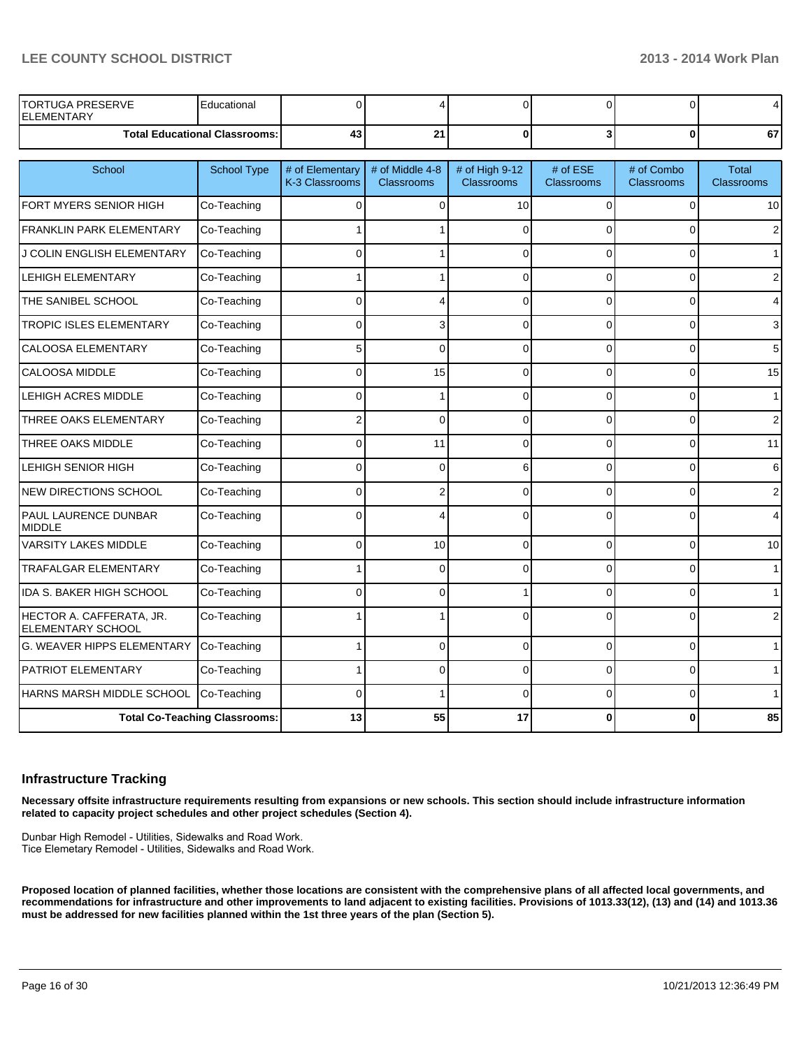| PRESERVE<br><b>TORTUGA</b><br><b>ELEMENTARY</b> | Educational                     |    |         |  |   |    |
|-------------------------------------------------|---------------------------------|----|---------|--|---|----|
|                                                 | Total Educational Classrooms: I | ᠇୷ | ኅብ<br>- |  | u | 67 |

| School                                        | <b>School Type</b>                   | # of Elementary<br>K-3 Classrooms | # of Middle 4-8<br><b>Classrooms</b> | # of High 9-12<br><b>Classrooms</b> | # of ESE<br><b>Classrooms</b> | # of Combo<br><b>Classrooms</b> | <b>Total</b><br><b>Classrooms</b> |
|-----------------------------------------------|--------------------------------------|-----------------------------------|--------------------------------------|-------------------------------------|-------------------------------|---------------------------------|-----------------------------------|
| FORT MYERS SENIOR HIGH                        | Co-Teaching                          | 0                                 | 0                                    | 10                                  | 0                             | 0                               | 10                                |
| <b>FRANKLIN PARK ELEMENTARY</b>               | Co-Teaching                          |                                   |                                      | $\Omega$                            | $\Omega$                      | 0                               | $\overline{2}$                    |
| J COLIN ENGLISH ELEMENTARY                    | Co-Teaching                          | <sup>0</sup>                      |                                      | $\Omega$                            | $\Omega$                      | $\Omega$                        | $\mathbf{1}$                      |
| <b>LEHIGH ELEMENTARY</b>                      | Co-Teaching                          |                                   |                                      | $\Omega$                            | $\Omega$                      | $\Omega$                        | 2                                 |
| THE SANIBEL SCHOOL                            | Co-Teaching                          | <sup>0</sup>                      | 4                                    | $\Omega$                            | $\Omega$                      | 0                               | 4                                 |
| <b>TROPIC ISLES ELEMENTARY</b>                | Co-Teaching                          | 0                                 | 3                                    | $\Omega$                            | 0                             | 0                               | 3                                 |
| <b>CALOOSA ELEMENTARY</b>                     | Co-Teaching                          | 5                                 | 0                                    | $\Omega$                            | 0                             | 0                               | 5                                 |
| <b>CALOOSA MIDDLE</b>                         | Co-Teaching                          | 0                                 | 15                                   | $\Omega$                            | 0                             | 0                               | 15                                |
| <b>LEHIGH ACRES MIDDLE</b>                    | Co-Teaching                          | $\Omega$                          |                                      | $\Omega$                            | $\Omega$                      | 0                               | 1                                 |
| THREE OAKS ELEMENTARY                         | Co-Teaching                          | 2                                 | 0                                    | $\Omega$                            | $\Omega$                      | 0                               | $\overline{2}$                    |
| THREE OAKS MIDDLE                             | Co-Teaching                          | $\Omega$                          | 11                                   | $\Omega$                            | $\Omega$                      | 0                               | 11                                |
| LEHIGH SENIOR HIGH                            | Co-Teaching                          | 0                                 | 0                                    | 6                                   | 0                             | 0                               | 6                                 |
| <b>NEW DIRECTIONS SCHOOL</b>                  | Co-Teaching                          | $\Omega$                          | 2                                    | $\Omega$                            | $\Omega$                      | $\Omega$                        | 2                                 |
| <b>PAUL LAURENCE DUNBAR</b><br><b>MIDDLE</b>  | Co-Teaching                          | $\Omega$                          | 4                                    | $\Omega$                            | $\Omega$                      | 0                               | 4                                 |
| <b>VARSITY LAKES MIDDLE</b>                   | Co-Teaching                          | 0                                 | 10                                   | $\Omega$                            | $\Omega$                      | $\overline{0}$                  | 10                                |
| <b>TRAFALGAR ELEMENTARY</b>                   | Co-Teaching                          |                                   | $\mathbf{0}$                         | $\Omega$                            | $\Omega$                      | $\Omega$                        | 1                                 |
| <b>IDA S. BAKER HIGH SCHOOL</b>               | Co-Teaching                          | $\Omega$                          | 0                                    |                                     | 0                             | 0                               | $\mathbf{1}$                      |
| HECTOR A. CAFFERATA, JR.<br>ELEMENTARY SCHOOL | Co-Teaching                          |                                   | 1                                    | $\Omega$                            | $\Omega$                      | 0                               | $\overline{2}$                    |
| G. WEAVER HIPPS ELEMENTARY                    | Co-Teaching                          |                                   | 0                                    | $\Omega$                            | $\Omega$                      | 0                               | 1                                 |
| <b>PATRIOT ELEMENTARY</b>                     | Co-Teaching                          |                                   | 0                                    | $\Omega$                            | $\Omega$                      | 0                               | $\mathbf{1}$                      |
| HARNS MARSH MIDDLE SCHOOL                     | Co-Teaching                          | 0                                 | 1                                    | $\Omega$                            | $\Omega$                      | $\Omega$                        | $\mathbf 1$                       |
|                                               | <b>Total Co-Teaching Classrooms:</b> | 13                                | 55                                   | 17                                  | U                             | $\Omega$                        | 85                                |

#### **Infrastructure Tracking**

**Necessary offsite infrastructure requirements resulting from expansions or new schools. This section should include infrastructure information related to capacity project schedules and other project schedules (Section 4).**

Dunbar High Remodel - Utilities, Sidewalks and Road Work. Tice Elemetary Remodel - Utilities, Sidewalks and Road Work.

**Proposed location of planned facilities, whether those locations are consistent with the comprehensive plans of all affected local governments, and recommendations for infrastructure and other improvements to land adjacent to existing facilities. Provisions of 1013.33(12), (13) and (14) and 1013.36 must be addressed for new facilities planned within the 1st three years of the plan (Section 5).**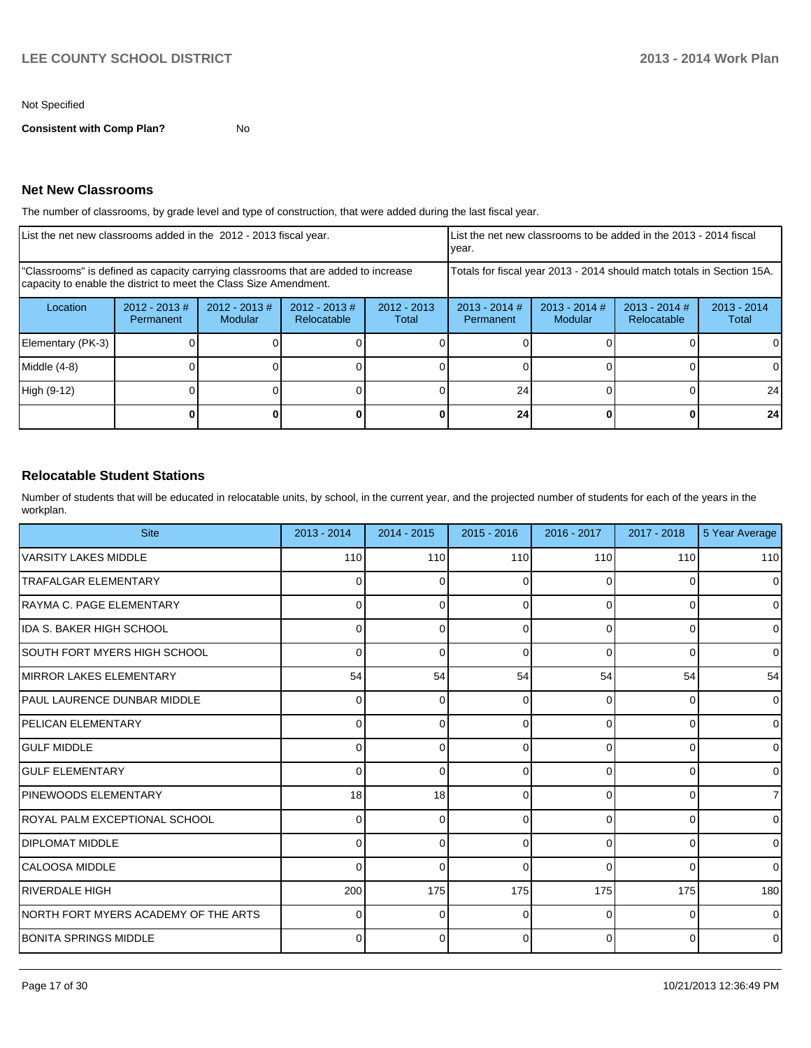#### Not Specified

**Consistent with Comp Plan?** No

#### **Net New Classrooms**

The number of classrooms, by grade level and type of construction, that were added during the last fiscal year.

| List the net new classrooms added in the 2012 - 2013 fiscal year.                                                                                       |                              |                            |                                |                                                                        | List the net new classrooms to be added in the 2013 - 2014 fiscal<br>year. |                            |                                |                        |
|---------------------------------------------------------------------------------------------------------------------------------------------------------|------------------------------|----------------------------|--------------------------------|------------------------------------------------------------------------|----------------------------------------------------------------------------|----------------------------|--------------------------------|------------------------|
| "Classrooms" is defined as capacity carrying classrooms that are added to increase<br>capacity to enable the district to meet the Class Size Amendment. |                              |                            |                                | Totals for fiscal year 2013 - 2014 should match totals in Section 15A. |                                                                            |                            |                                |                        |
| Location                                                                                                                                                | $2012 - 2013$ #<br>Permanent | $2012 - 2013$ #<br>Modular | $2012 - 2013$ #<br>Relocatable | $2012 - 2013$<br>Total                                                 | $2013 - 2014$ #<br>Permanent                                               | $2013 - 2014$ #<br>Modular | $2013 - 2014$ #<br>Relocatable | $2013 - 2014$<br>Total |
| Elementary (PK-3)                                                                                                                                       |                              |                            |                                |                                                                        |                                                                            |                            |                                |                        |
| Middle (4-8)                                                                                                                                            |                              |                            |                                |                                                                        |                                                                            |                            |                                |                        |
| High (9-12)                                                                                                                                             |                              |                            |                                |                                                                        | 24                                                                         |                            |                                | 24                     |
|                                                                                                                                                         |                              |                            |                                |                                                                        | 24                                                                         |                            |                                | 24                     |

#### **Relocatable Student Stations**

Number of students that will be educated in relocatable units, by school, in the current year, and the projected number of students for each of the years in the workplan.

| <b>Site</b>                           | 2013 - 2014  | $2014 - 2015$   | $2015 - 2016$ | 2016 - 2017    | 2017 - 2018    | 5 Year Average |
|---------------------------------------|--------------|-----------------|---------------|----------------|----------------|----------------|
| VARSITY LAKES MIDDLE                  | 110          | 110             | 110           | 110            | 110            | 110            |
| <b>TRAFALGAR ELEMENTARY</b>           | 0            | $\Omega$        | ∩             | 0              | 0              | $\mathbf 0$    |
| IRAYMA C. PAGE ELEMENTARY             | 0            | $\Omega$        | 0             | 0              | 0              | $\mathbf 0$    |
| IIDA S. BAKER HIGH SCHOOL             | 0            | 0               | $\Omega$      | 0              | 0              | $\mathbf 0$    |
| SOUTH FORT MYERS HIGH SCHOOL          | 0            | 0               | $\Omega$      | $\Omega$       | 0              | $\Omega$       |
| <b>MIRROR LAKES ELEMENTARY</b>        | 54           | 54              | 54            | 54             | 54             | 54             |
| <b>IPAUL LAURENCE DUNBAR MIDDLE</b>   | <sup>0</sup> | 0               | $\Omega$      | $\Omega$       | 0              | $\Omega$       |
| <b>PELICAN ELEMENTARY</b>             |              | $\Omega$        | $\Omega$      | $\Omega$       | 0              | $\mathbf 0$    |
| <b>I</b> GULF MIDDLE                  |              | 0               | $\Omega$      | $\Omega$       | 0              | $\mathbf 0$    |
| <b>GULF ELEMENTARY</b>                |              | 0               | $\Omega$      | 0              | 0              | $\mathbf 0$    |
| <b>PINEWOODS ELEMENTARY</b>           | 18           | 18 <sup>1</sup> | $\Omega$      | 0              | 0              | $\overline{7}$ |
| ROYAL PALM EXCEPTIONAL SCHOOL         |              | 0               | O             | 0              | 0              | $\mathbf 0$    |
| <b>IDIPLOMAT MIDDLE</b>               | <sup>0</sup> | 0               | ∩             | 0              | 0              | $\mathbf 0$    |
| ICALOOSA MIDDLE                       | <sup>0</sup> | 0               | $\Omega$      | 0              | 0              | $\mathbf 0$    |
| IRIVERDALE HIGH                       | 200          | 175             | 175           | 175            | 175            | 180            |
| INORTH FORT MYERS ACADEMY OF THE ARTS | 0            | 0               | $\Omega$      | 0              | 0              | $\mathbf 0$    |
| <b>IBONITA SPRINGS MIDDLE</b>         | 0            | $\Omega$        | $\Omega$      | $\overline{0}$ | $\overline{0}$ | $\mathbf 0$    |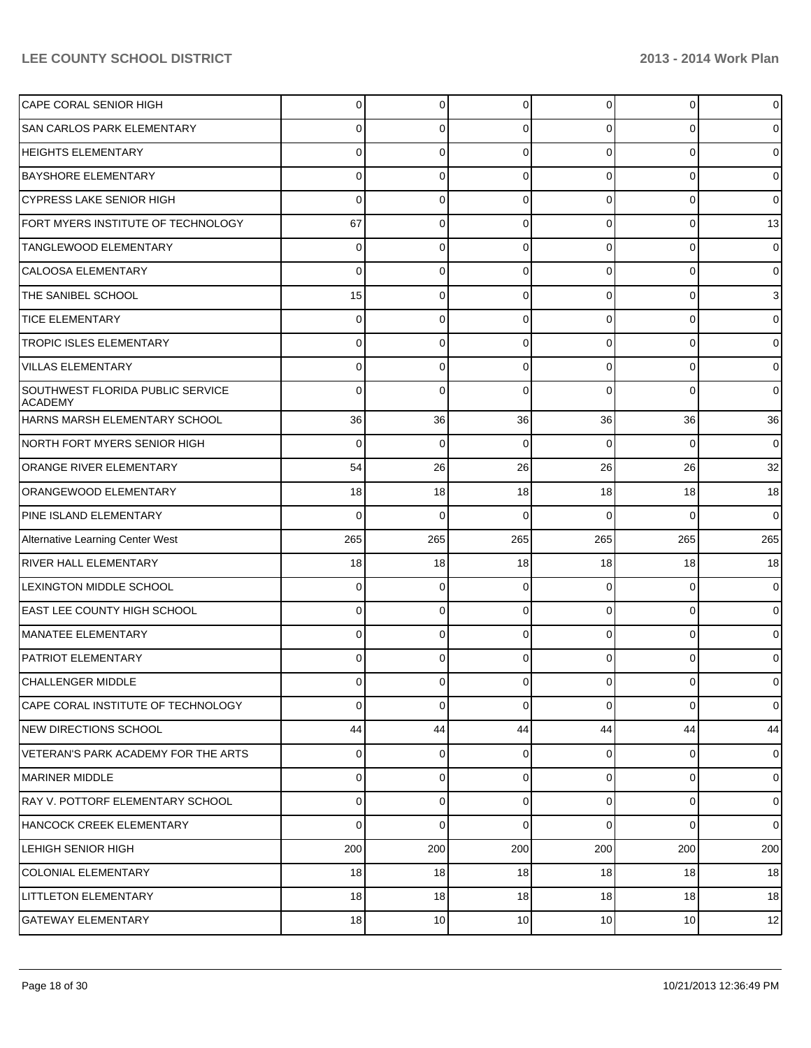| CAPE CORAL SENIOR HIGH                             | 0              | 0           | 0           | $\Omega$       | 0            | 0              |
|----------------------------------------------------|----------------|-------------|-------------|----------------|--------------|----------------|
| <b>SAN CARLOS PARK ELEMENTARY</b>                  | 0              | 0           | 0           | $\Omega$       | $\Omega$     | 0              |
| HEIGHTS ELEMENTARY                                 | 0              | 0           | 0           | $\Omega$       | $\Omega$     | 0              |
| BAYSHORE ELEMENTARY                                | 0              | 0           | 0           | 0              | $\Omega$     | 0              |
| <b>CYPRESS LAKE SENIOR HIGH</b>                    | 0              | 0           | 0           | $\Omega$       | $\Omega$     | $\mathbf 0$    |
| FORT MYERS INSTITUTE OF TECHNOLOGY                 | 67             | 0           | 0           | 0              | 0            | 13             |
| TANGLEWOOD ELEMENTARY                              | 0              | 0           | 0           | $\Omega$       | 0            | 0              |
| CALOOSA ELEMENTARY                                 | 0              | 0           | 0           | $\Omega$       | $\Omega$     | 0              |
| THE SANIBEL SCHOOL                                 | 15             | 0           | 0           | $\Omega$       | $\Omega$     | 3              |
| <b>TICE ELEMENTARY</b>                             | 0              | 0           | 0           | 0              | $\Omega$     | 0              |
| <b>TROPIC ISLES ELEMENTARY</b>                     | 0              | 0           | 0           | $\Omega$       | $\Omega$     | 0              |
| <b>VILLAS ELEMENTARY</b>                           | 0              | 0           | 0           | $\Omega$       | $\Omega$     | 0              |
| SOUTHWEST FLORIDA PUBLIC SERVICE<br><b>ACADEMY</b> | 0              | 0           | n           | 0              | $\Omega$     | $\mathbf 0$    |
| HARNS MARSH ELEMENTARY SCHOOL                      | 36             | 36          | 36          | 36             | 36           | 36             |
| NORTH FORT MYERS SENIOR HIGH                       | 0              | 0           | $\Omega$    | $\Omega$       | $\Omega$     | $\overline{0}$ |
| ORANGE RIVER ELEMENTARY                            | 54             | 26          | 26          | 26             | 26           | 32             |
| <b>ORANGEWOOD ELEMENTARY</b>                       | 18             | 18          | 18          | 18             | 18           | 18             |
| PINE ISLAND ELEMENTARY                             | 0              | $\Omega$    | $\Omega$    | $\Omega$       | $\Omega$     | $\overline{0}$ |
| Alternative Learning Center West                   | 265            | 265         | 265         | 265            | 265          | 265            |
| <b>RIVER HALL ELEMENTARY</b>                       | 18             | 18          | 18          | 18             | 18           | 18             |
| <b>LEXINGTON MIDDLE SCHOOL</b>                     | 0              | 0           | $\Omega$    | $\overline{0}$ | $\mathbf 0$  | $\overline{0}$ |
| <b>EAST LEE COUNTY HIGH SCHOOL</b>                 | 0              | $\Omega$    | 0           | $\Omega$       | $\mathbf 0$  | $\overline{0}$ |
| MANATEE ELEMENTARY                                 | $\Omega$       | 0           | 0           | $\Omega$       | $\mathbf 0$  | $\overline{0}$ |
| <b>PATRIOT ELEMENTARY</b>                          | 0              | $\Omega$    | 0           | $\Omega$       | $\Omega$     | $\overline{0}$ |
| CHALLENGER MIDDLE                                  | $\Omega$       | 0           | 0           | $\overline{0}$ | $\mathbf{0}$ | $\overline{0}$ |
| CAPE CORAL INSTITUTE OF TECHNOLOGY                 | $\Omega$       | $\mathbf 0$ | $\mathbf 0$ | $\Omega$       | $\mathbf 0$  | $\overline{0}$ |
| <b>NEW DIRECTIONS SCHOOL</b>                       | 44             | 44          | 44          | 44             | 44           | 44             |
| VETERAN'S PARK ACADEMY FOR THE ARTS                | $\overline{0}$ | 0           | 0           | $\overline{0}$ | 0            | $\overline{0}$ |
| IMARINER MIDDLE                                    | $\overline{0}$ | 0           | 0           | $\overline{0}$ | $\mathbf 0$  | $\overline{0}$ |
| RAY V. POTTORF ELEMENTARY SCHOOL                   | $\overline{0}$ | $\mathbf 0$ | 0           | $\overline{0}$ | $\mathbf 0$  | $\overline{0}$ |
| <b>HANCOCK CREEK ELEMENTARY</b>                    | $\Omega$       | 0           | $\Omega$    | $\Omega$       | $\Omega$     | $\overline{0}$ |
| LEHIGH SENIOR HIGH                                 | 200            | 200         | 200         | 200            | 200          | 200            |
| <b>COLONIAL ELEMENTARY</b>                         | 18             | 18          | 18          | 18             | 18           | 18             |
| <b>LITTLETON ELEMENTARY</b>                        | 18             | 18          | 18          | 18             | 18           | 18             |
| <b>GATEWAY ELEMENTARY</b>                          | 18             | 10          | 10          | 10             | 10           | 12             |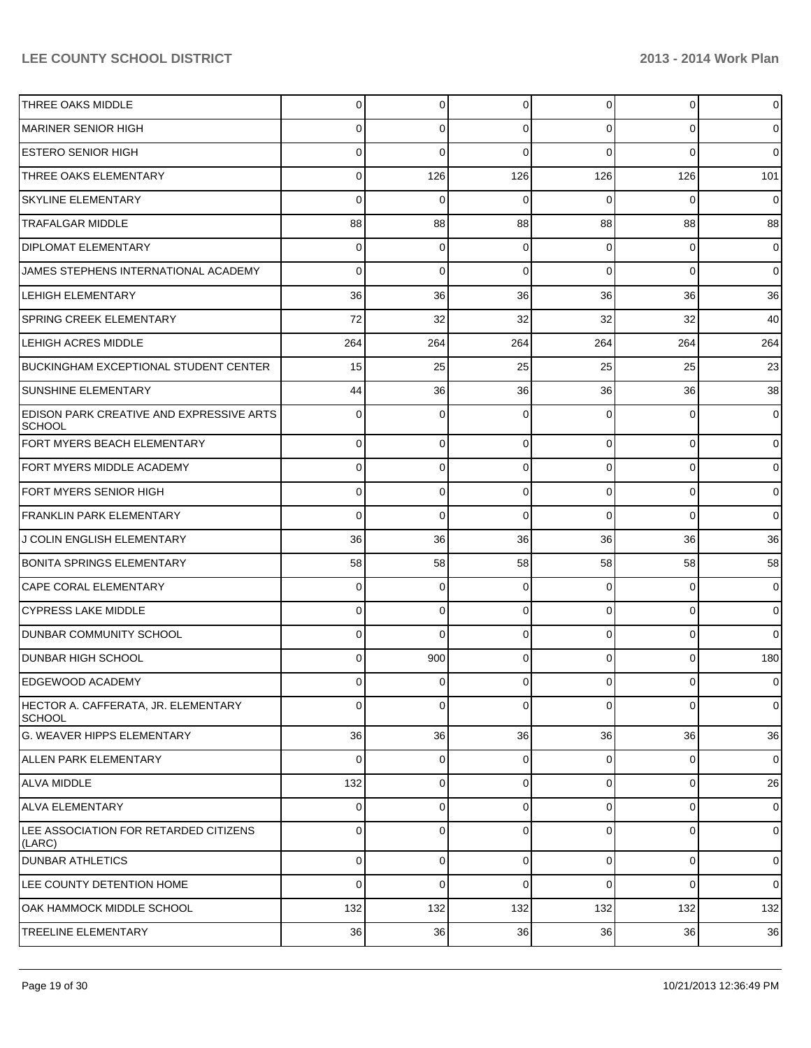| <b>THREE OAKS MIDDLE</b>                                          | 0        | 0           | $\Omega$ | $\Omega$       | 0              | $\mathbf 0$    |
|-------------------------------------------------------------------|----------|-------------|----------|----------------|----------------|----------------|
| MARINER SENIOR HIGH                                               | 0        | 0           | 0        | 0              | 0              | $\mathbf 0$    |
| <b>ESTERO SENIOR HIGH</b>                                         | 0        | $\mathbf 0$ | $\Omega$ | 0              | $\Omega$       | $\overline{0}$ |
| THREE OAKS ELEMENTARY                                             | 0        | 126         | 126      | 126            | 126            | 101            |
| <b>SKYLINE ELEMENTARY</b>                                         | 0        | $\mathbf 0$ | 0        | 0              | $\Omega$       | $\mathbf 0$    |
| <b>TRAFALGAR MIDDLE</b>                                           | 88       | 88          | 88       | 88             | 88             | 88             |
| <b>DIPLOMAT ELEMENTARY</b>                                        | 0        | $\mathbf 0$ | 0        | $\Omega$       | 0              | $\mathbf 0$    |
| JAMES STEPHENS INTERNATIONAL ACADEMY                              | 0        | $\mathbf 0$ | $\Omega$ | $\Omega$       | $\mathbf 0$    | $\mathbf 0$    |
| <b>LEHIGH ELEMENTARY</b>                                          | 36       | 36          | 36       | 36             | 36             | 36             |
| <b>SPRING CREEK ELEMENTARY</b>                                    | 72       | 32          | 32       | 32             | 32             | 40             |
| <b>LEHIGH ACRES MIDDLE</b>                                        | 264      | 264         | 264      | 264            | 264            | 264            |
| BUCKINGHAM EXCEPTIONAL STUDENT CENTER                             | 15       | 25          | 25       | 25             | 25             | 23             |
| <b>SUNSHINE ELEMENTARY</b>                                        | 44       | 36          | 36       | 36             | 36             | 38             |
| <b>IEDISON PARK CREATIVE AND EXPRESSIVE ARTS</b><br><b>SCHOOL</b> | 0        | $\mathbf 0$ | 0        | 0              | 0              | $\mathbf 0$    |
| FORT MYERS BEACH ELEMENTARY                                       | $\Omega$ | 0           | 0        | $\Omega$       | $\overline{0}$ | $\overline{0}$ |
| FORT MYERS MIDDLE ACADEMY                                         | $\Omega$ | 0           | $\Omega$ | $\Omega$       | $\overline{0}$ | $\overline{0}$ |
| FORT MYERS SENIOR HIGH                                            | $\Omega$ | 0           | $\Omega$ | $\Omega$       | $\overline{0}$ | $\overline{0}$ |
| <b>FRANKLIN PARK ELEMENTARY</b>                                   | 0        | $\Omega$    | $\Omega$ | $\Omega$       | $\Omega$       | $\overline{0}$ |
| <b>J COLIN ENGLISH ELEMENTARY</b>                                 | 36       | 36          | 36       | 36             | 36             | 36             |
| <b>BONITA SPRINGS ELEMENTARY</b>                                  | 58       | 58          | 58       | 58             | 58             | 58             |
| CAPE CORAL ELEMENTARY                                             | $\Omega$ | 0           | 0        | $\Omega$       | $\overline{0}$ | $\overline{0}$ |
| <b>CYPRESS LAKE MIDDLE</b>                                        | $\Omega$ | 0           | $\Omega$ | $\Omega$       | $\overline{0}$ | $\overline{0}$ |
| <b>DUNBAR COMMUNITY SCHOOL</b>                                    | 0        | $\Omega$    | $\Omega$ | $\Omega$       | $\overline{0}$ | $\overline{0}$ |
| DUNBAR HIGH SCHOOL                                                | 0        | 900         | $\Omega$ | $\Omega$       | $\Omega$       | 180            |
| EDGEWOOD ACADEMY                                                  | $\Omega$ | $\mathbf 0$ | $\Omega$ | $\Omega$       | $\overline{0}$ | $\overline{0}$ |
| HECTOR A. CAFFERATA, JR. ELEMENTARY<br><b>SCHOOL</b>              | $\Omega$ | $\mathbf 0$ | 0        | $\Omega$       | $\overline{0}$ | $\mathbf 0$    |
| lg. WEAVER HIPPS ELEMENTARY                                       | 36       | 36          | 36       | 36             | 36             | 36             |
| ALLEN PARK ELEMENTARY                                             | $\Omega$ | $\mathbf 0$ | 0        | $\overline{0}$ | $\overline{0}$ | $\mathbf 0$    |
| <b>ALVA MIDDLE</b>                                                | 132      | $\mathbf 0$ | 0        | $\overline{0}$ | $\overline{0}$ | 26             |
| ALVA ELEMENTARY                                                   | $\Omega$ | 0           | 0        | $\overline{0}$ | $\overline{0}$ | $\mathbf 0$    |
| LEE ASSOCIATION FOR RETARDED CITIZENS<br>(LARC)                   | $\Omega$ | $\mathbf 0$ | 0        | $\Omega$       | $\overline{0}$ | $\mathbf 0$    |
| <b>DUNBAR ATHLETICS</b>                                           | $\Omega$ | 0           | 0        | $\overline{0}$ | $\overline{0}$ | $\mathbf 0$    |
| LEE COUNTY DETENTION HOME                                         | 0        | $\mathbf 0$ | $\Omega$ | $\Omega$       | $\mathbf 0$    | $\mathbf 0$    |
| OAK HAMMOCK MIDDLE SCHOOL                                         | 132      | 132         | 132      | 132            | 132            | 132            |
| <b>TREELINE ELEMENTARY</b>                                        | 36       | 36          | 36       | 36             | 36             | 36             |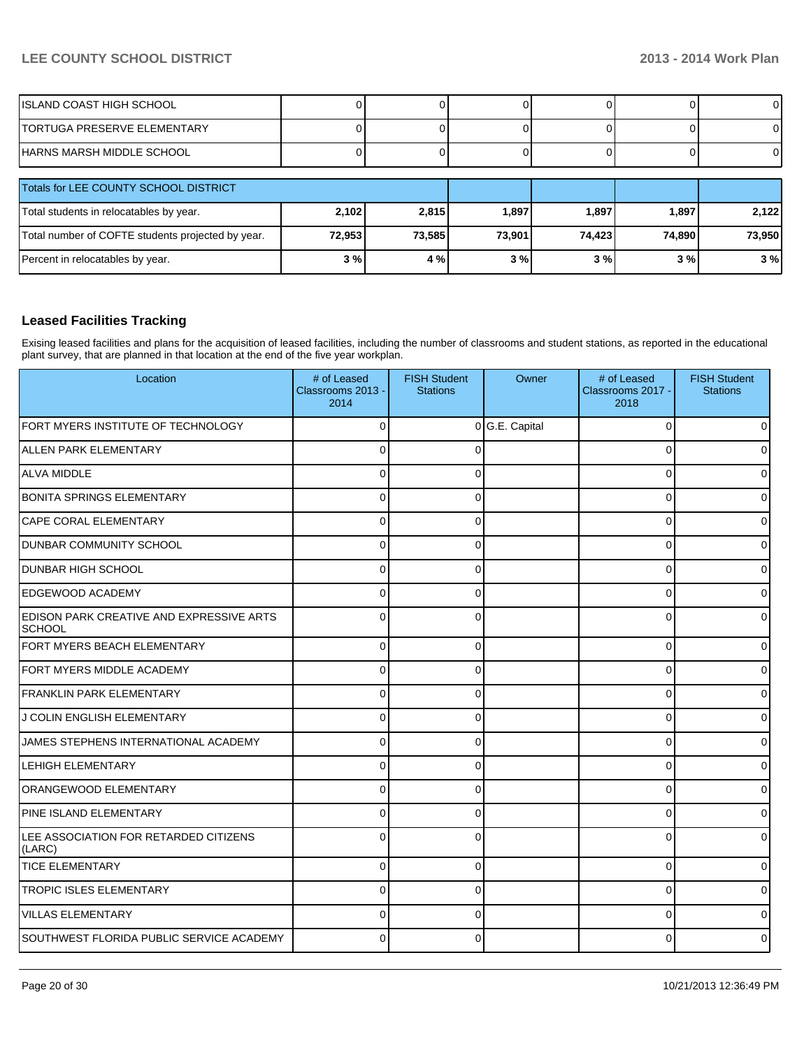| IISLAND COAST HIGH SCHOOL             |  |  |  |
|---------------------------------------|--|--|--|
| <b>ITORTUGA PRESERVE ELEMENTARY</b>   |  |  |  |
| IHARNS MARSH MIDDLE SCHOOL            |  |  |  |
| Totals for LEE COUNTY SCHOOL DISTRICT |  |  |  |

| Totals for LEE COUNTY SCHOOL DISTRICT             |        |        |        |         |        |        |
|---------------------------------------------------|--------|--------|--------|---------|--------|--------|
| Total students in relocatables by year.           | 2,102  | 2.815  | 1,897  | 1,897   | 1.897  | 2.122  |
| Total number of COFTE students projected by year. | 72,953 | 73.585 | 73,901 | 74.4231 | 74.890 | 73,950 |
| Percent in relocatables by year.                  | 3%     | 4 %    | 3%     | 3 % I   | 3 % I  | 3%     |

## **Leased Facilities Tracking**

Exising leased facilities and plans for the acquisition of leased facilities, including the number of classrooms and student stations, as reported in the educational plant survey, that are planned in that location at the end of the five year workplan.

| Location                                                  | # of Leased<br>Classrooms 2013 -<br>2014 | <b>FISH Student</b><br><b>Stations</b> | Owner          | # of Leased<br>Classrooms 2017 -<br>2018 | <b>FISH Student</b><br><b>Stations</b> |
|-----------------------------------------------------------|------------------------------------------|----------------------------------------|----------------|------------------------------------------|----------------------------------------|
| FORT MYERS INSTITUTE OF TECHNOLOGY                        | $\Omega$                                 |                                        | 0 G.E. Capital | 0                                        |                                        |
| <b>ALLEN PARK ELEMENTARY</b>                              | $\Omega$                                 | n                                      |                | $\Omega$                                 |                                        |
| ALVA MIDDLE                                               | $\Omega$                                 | O                                      |                | $\Omega$                                 |                                        |
| <b>BONITA SPRINGS ELEMENTARY</b>                          | $\Omega$                                 | 0                                      |                | $\mathbf{0}$                             |                                        |
| CAPE CORAL ELEMENTARY                                     | $\Omega$                                 | 0                                      |                | $\mathbf 0$                              |                                        |
| DUNBAR COMMUNITY SCHOOL                                   | $\Omega$                                 | $\Omega$                               |                | $\mathbf{0}$                             |                                        |
| <b>DUNBAR HIGH SCHOOL</b>                                 | $\overline{0}$                           | 0                                      |                | $\mathbf 0$                              |                                        |
| <b>EDGEWOOD ACADEMY</b>                                   | $\overline{0}$                           | 0                                      |                | $\mathbf 0$                              |                                        |
| EDISON PARK CREATIVE AND EXPRESSIVE ARTS<br><b>SCHOOL</b> | $\Omega$                                 | 0                                      |                | $\Omega$                                 |                                        |
| FORT MYERS BEACH ELEMENTARY                               | $\Omega$                                 | 0                                      |                | 0                                        |                                        |
| FORT MYERS MIDDLE ACADEMY                                 | $\Omega$                                 | $\Omega$                               |                | $\mathbf{0}$                             |                                        |
| <b>FRANKLIN PARK ELEMENTARY</b>                           | $\Omega$                                 | 0                                      |                | $\mathbf 0$                              |                                        |
| J COLIN ENGLISH ELEMENTARY                                | $\Omega$                                 | $\Omega$                               |                | $\mathbf{0}$                             |                                        |
| JAMES STEPHENS INTERNATIONAL ACADEMY                      | $\Omega$                                 | 0                                      |                | $\Omega$                                 |                                        |
| <b>LEHIGH ELEMENTARY</b>                                  | $\overline{0}$                           | 0                                      |                | $\mathbf 0$                              |                                        |
| <b>ORANGEWOOD ELEMENTARY</b>                              | $\Omega$                                 | 0                                      |                | 0                                        |                                        |
| PINE ISLAND ELEMENTARY                                    | $\Omega$                                 | 0                                      |                | 0                                        |                                        |
| LEE ASSOCIATION FOR RETARDED CITIZENS<br>(LARC)           | $\Omega$                                 | $\Omega$                               |                | $\mathbf 0$                              |                                        |
| <b>TICE ELEMENTARY</b>                                    | $\Omega$                                 | 0                                      |                | $\mathbf 0$                              |                                        |
| <b>TROPIC ISLES ELEMENTARY</b>                            | $\Omega$                                 | $\Omega$                               |                | $\Omega$                                 |                                        |
| <b>VILLAS ELEMENTARY</b>                                  | $\Omega$                                 | 0                                      |                | 0                                        |                                        |
| SOUTHWEST FLORIDA PUBLIC SERVICE ACADEMY                  | $\Omega$                                 | 0                                      |                | $\Omega$                                 |                                        |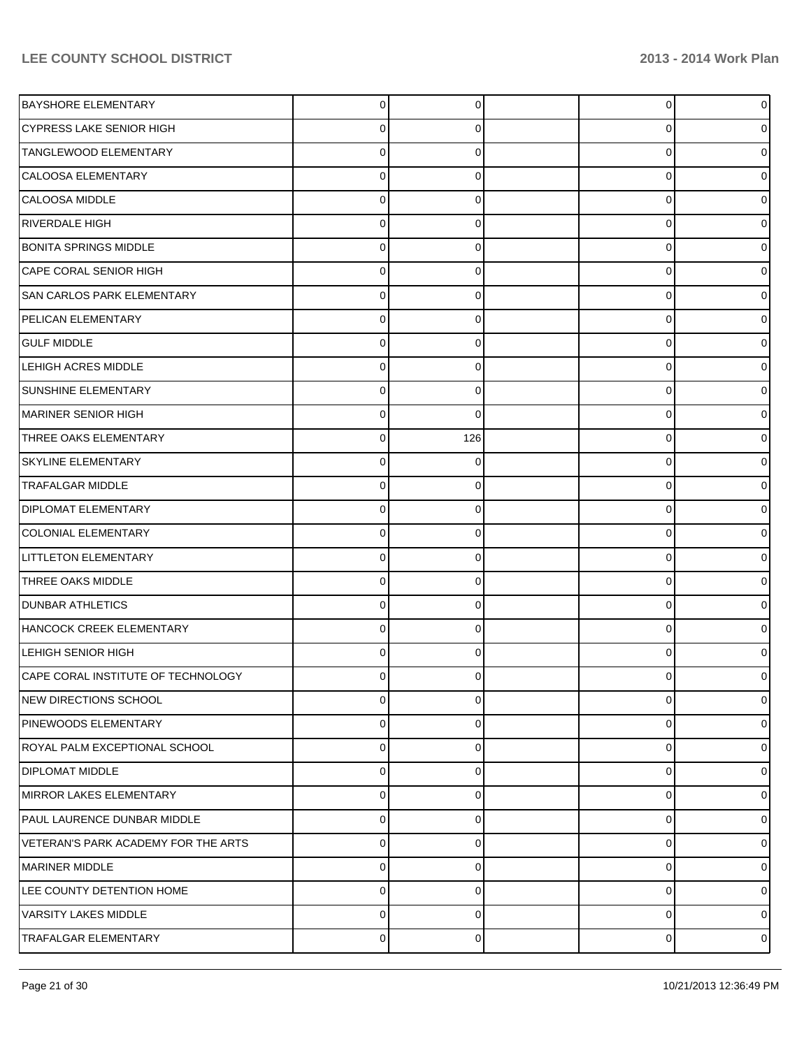| <b>BAYSHORE ELEMENTARY</b>          | $\overline{0}$ | 0              | 0              | $\overline{0}$ |
|-------------------------------------|----------------|----------------|----------------|----------------|
| <b>CYPRESS LAKE SENIOR HIGH</b>     | $\overline{0}$ | 0              | 0              | 01             |
| TANGLEWOOD ELEMENTARY               | $\overline{0}$ | $\Omega$       | $\Omega$       | 01             |
| <b>CALOOSA ELEMENTARY</b>           | $\Omega$       | $\Omega$       | 0              | 01             |
| CALOOSA MIDDLE                      | $\Omega$       | $\Omega$       | $\Omega$       | 01             |
| <b>RIVERDALE HIGH</b>               | $\Omega$       | $\Omega$       | $\Omega$       | 01             |
| BONITA SPRINGS MIDDLE               | $\Omega$       | $\Omega$       | $\Omega$       | 01             |
| <b>CAPE CORAL SENIOR HIGH</b>       | $\Omega$       | $\Omega$       | 0              | 01             |
| <b>SAN CARLOS PARK ELEMENTARY</b>   | $\overline{0}$ | $\Omega$       | $\Omega$       | 01             |
| PELICAN ELEMENTARY                  | $\Omega$       | $\Omega$       | 0              | 0              |
| <b>GULF MIDDLE</b>                  | $\Omega$       | $\Omega$       | $\Omega$       | 01             |
| <b>LEHIGH ACRES MIDDLE</b>          | $\Omega$       | $\Omega$       | 0              | 01             |
| <b>SUNSHINE ELEMENTARY</b>          | $\overline{0}$ | $\Omega$       | $\Omega$       | 01             |
| MARINER SENIOR HIGH                 | $\Omega$       | $\Omega$       | 0              | 0              |
| THREE OAKS ELEMENTARY               | $\Omega$       | 126            | $\Omega$       | 01             |
| <b>SKYLINE ELEMENTARY</b>           | $\Omega$       | $\Omega$       | 0              | 01             |
| <b>TRAFALGAR MIDDLE</b>             | $\overline{0}$ | $\Omega$       | $\Omega$       | 01             |
| <b>DIPLOMAT ELEMENTARY</b>          | $\Omega$       | 0              | 0              | 0              |
| <b>COLONIAL ELEMENTARY</b>          | $\Omega$       | $\Omega$       | $\Omega$       | 0              |
| <b>LITTLETON ELEMENTARY</b>         | $\Omega$       | $\Omega$       | $\Omega$       | 01             |
| THREE OAKS MIDDLE                   | $\overline{0}$ | $\Omega$       | 0              | 01             |
| <b>DUNBAR ATHLETICS</b>             | $\Omega$       | $\Omega$       | 0              | 01             |
| HANCOCK CREEK ELEMENTARY            | $\Omega$       | $\Omega$       | $\Omega$       | 0              |
| <b>LEHIGH SENIOR HIGH</b>           | $\Omega$       | $\Omega$       | 0              | 0              |
| CAPE CORAL INSTITUTE OF TECHNOLOGY  | n              |                |                |                |
| NEW DIRECTIONS SCHOOL               | $\overline{0}$ | $\overline{0}$ | $\overline{0}$ | $\overline{0}$ |
| <b>PINEWOODS ELEMENTARY</b>         | $\Omega$       | $\Omega$       | 0              | $\overline{0}$ |
| ROYAL PALM EXCEPTIONAL SCHOOL       | $\overline{0}$ | $\Omega$       | 0              | $\overline{0}$ |
| <b>DIPLOMAT MIDDLE</b>              | $\overline{0}$ | $\Omega$       | 0              | $\overline{0}$ |
| MIRROR LAKES ELEMENTARY             | $\overline{0}$ | $\Omega$       | 0              | $\overline{0}$ |
| PAUL LAURENCE DUNBAR MIDDLE         | $\overline{0}$ | $\Omega$       | 0              | $\overline{0}$ |
| VETERAN'S PARK ACADEMY FOR THE ARTS | $\Omega$       | $\Omega$       | $\Omega$       | $\overline{0}$ |
| MARINER MIDDLE                      | $\Omega$       | $\Omega$       | 0              | $\overline{0}$ |
| LEE COUNTY DETENTION HOME           | $\Omega$       | $\Omega$       | $\Omega$       | $\overline{0}$ |
| <b>VARSITY LAKES MIDDLE</b>         | $\Omega$       | $\Omega$       | $\Omega$       | $\overline{0}$ |
| <b>TRAFALGAR ELEMENTARY</b>         | $\overline{0}$ | $\Omega$       | 0              | $\overline{0}$ |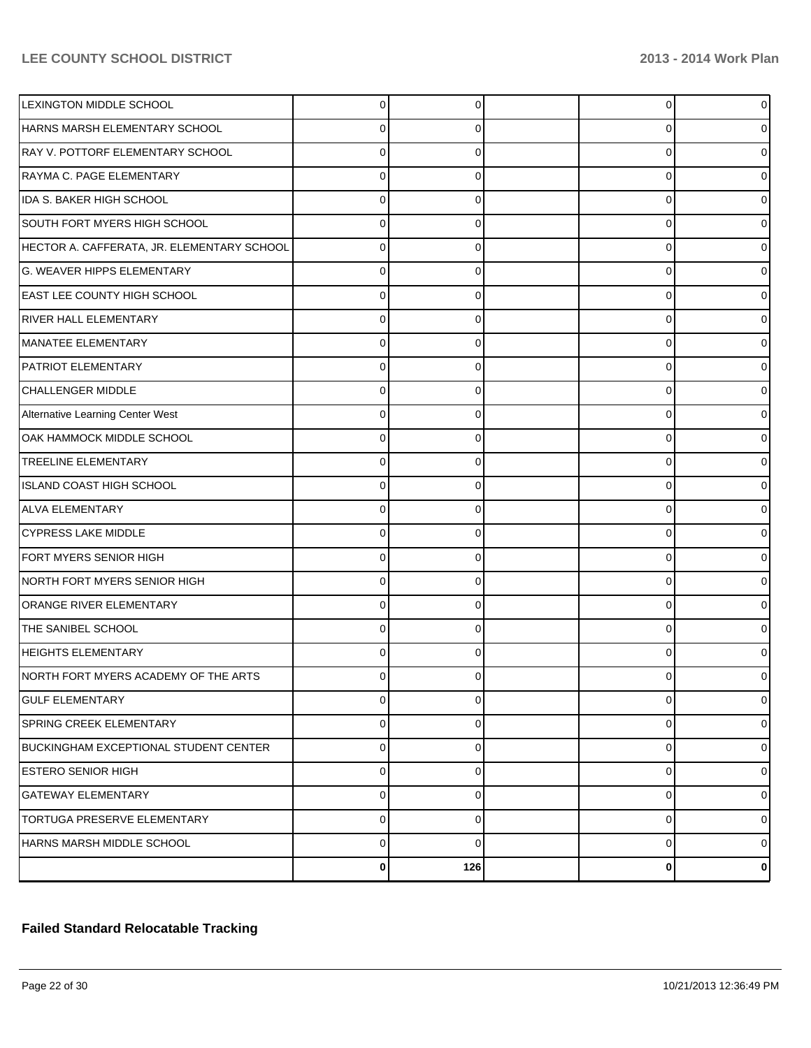| <b>LEXINGTON MIDDLE SCHOOL</b>             | 0           | $\Omega$ | 0        | $\overline{0}$ |
|--------------------------------------------|-------------|----------|----------|----------------|
| HARNS MARSH ELEMENTARY SCHOOL              | 0           |          | $\left($ | 0              |
| RAY V. POTTORF ELEMENTARY SCHOOL           | 0           |          | U        | $\Omega$       |
| RAYMA C. PAGE ELEMENTARY                   | $\Omega$    | O        | 0        | 0              |
| IDA S. BAKER HIGH SCHOOL                   | 0           |          | U        | $\Omega$       |
| SOUTH FORT MYERS HIGH SCHOOL               | 0           | 0        | 0        | $\Omega$       |
| HECTOR A. CAFFERATA, JR. ELEMENTARY SCHOOL | $\Omega$    |          | U        | $\Omega$       |
| <b>G. WEAVER HIPPS ELEMENTARY</b>          | 0           | 0        | 0        | 0              |
| <b>EAST LEE COUNTY HIGH SCHOOL</b>         | 0           |          | U        | $\Omega$       |
| <b>RIVER HALL ELEMENTARY</b>               | 0           | 0        | 0        | 0              |
| MANATEE ELEMENTARY                         | 0           |          | U        | $\Omega$       |
| <b>PATRIOT ELEMENTARY</b>                  | 0           | 0        | 0        | 0              |
| <b>CHALLENGER MIDDLE</b>                   | $\Omega$    |          | U        | $\Omega$       |
| Alternative Learning Center West           | 0           | 0        | 0        | 0              |
| OAK HAMMOCK MIDDLE SCHOOL                  | 0           |          | U        | $\Omega$       |
| <b>TREELINE ELEMENTARY</b>                 | 0           | 0        | 0        | 0              |
| ISLAND COAST HIGH SCHOOL                   | 0           |          | U        | $\Omega$       |
| <b>ALVA ELEMENTARY</b>                     | 0           | 0        | 0        | $\Omega$       |
| CYPRESS LAKE MIDDLE                        | 0           |          | U        | $\Omega$       |
| FORT MYERS SENIOR HIGH                     | 0           | 0        | 0        | 0              |
| NORTH FORT MYERS SENIOR HIGH               | 0           |          | U        | $\Omega$       |
| ORANGE RIVER ELEMENTARY                    | 0           | 0        | 0        | 0              |
| THE SANIBEL SCHOOL                         | 0           |          | U        | $\Omega$       |
| <b>HEIGHTS ELEMENTARY</b>                  | $\Omega$    |          | U        | 0              |
| NORTH FORT MYERS ACADEMY OF THE ARTS       |             |          |          | 0              |
| <b>GULF ELEMENTARY</b>                     | 0           | 0        | 0        | $\overline{0}$ |
| <b>SPRING CREEK ELEMENTARY</b>             | $\mathbf 0$ | 0        | 0        | $\overline{0}$ |
| BUCKINGHAM EXCEPTIONAL STUDENT CENTER      | $\mathbf 0$ | 0        | 0        | $\overline{0}$ |
| <b>ESTERO SENIOR HIGH</b>                  | $\mathbf 0$ | 0        | 0        | $\overline{0}$ |
| <b>GATEWAY ELEMENTARY</b>                  | $\mathbf 0$ | 0        | 0        | $\overline{0}$ |
| <b>TORTUGA PRESERVE ELEMENTARY</b>         | $\mathbf 0$ | 0        | 0        | $\overline{0}$ |
| HARNS MARSH MIDDLE SCHOOL                  | $\mathbf 0$ | $\Omega$ | 0        | $\overline{0}$ |
|                                            | 0           | 126      | 0        | $\mathbf{0}$   |

## **Failed Standard Relocatable Tracking**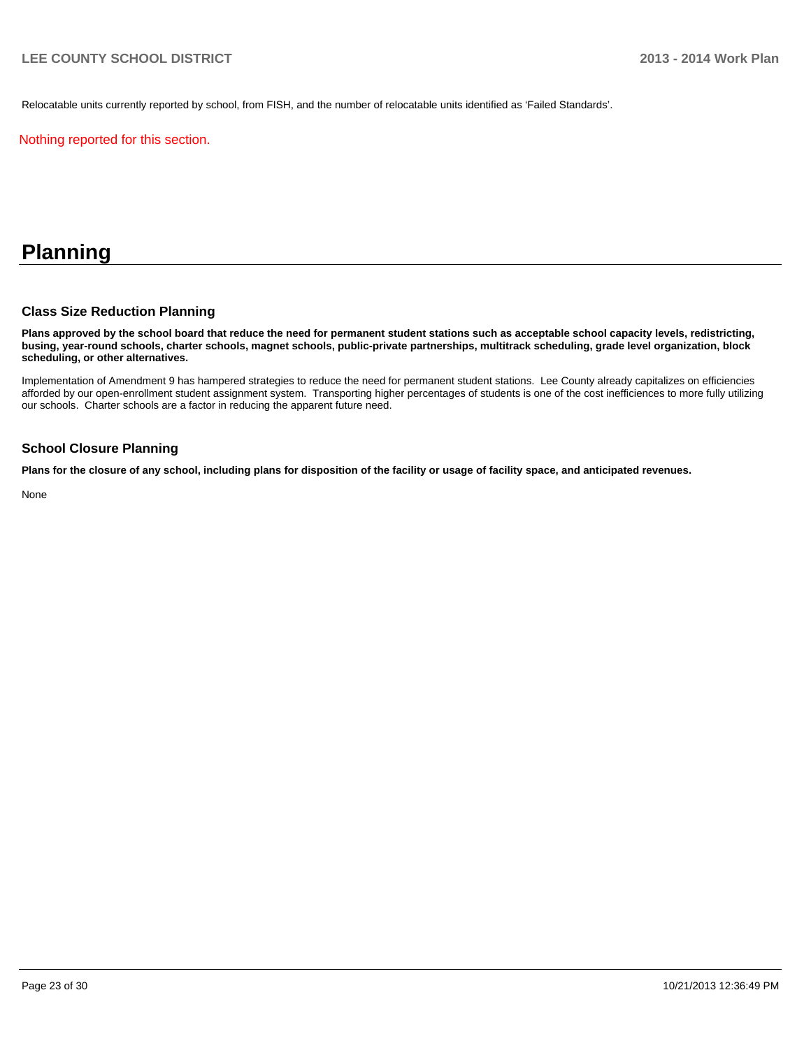Relocatable units currently reported by school, from FISH, and the number of relocatable units identified as 'Failed Standards'.

Nothing reported for this section.

# **Planning**

#### **Class Size Reduction Planning**

**Plans approved by the school board that reduce the need for permanent student stations such as acceptable school capacity levels, redistricting, busing, year-round schools, charter schools, magnet schools, public-private partnerships, multitrack scheduling, grade level organization, block scheduling, or other alternatives.**

Implementation of Amendment 9 has hampered strategies to reduce the need for permanent student stations. Lee County already capitalizes on efficiencies afforded by our open-enrollment student assignment system. Transporting higher percentages of students is one of the cost inefficiences to more fully utilizing our schools. Charter schools are a factor in reducing the apparent future need.

#### **School Closure Planning**

**Plans for the closure of any school, including plans for disposition of the facility or usage of facility space, and anticipated revenues.**

None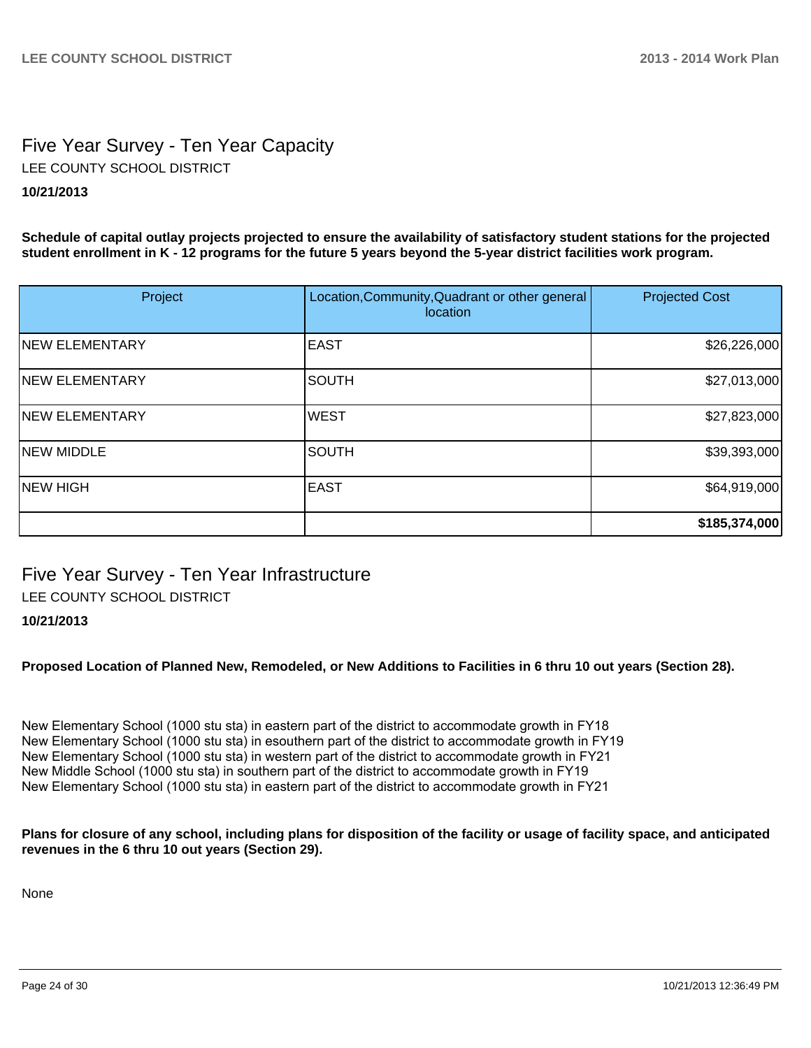# Five Year Survey - Ten Year Capacity **10/21/2013** LEE COUNTY SCHOOL DISTRICT

**Schedule of capital outlay projects projected to ensure the availability of satisfactory student stations for the projected student enrollment in K - 12 programs for the future 5 years beyond the 5-year district facilities work program.**

| Project               | Location, Community, Quadrant or other general<br>location | <b>Projected Cost</b> |
|-----------------------|------------------------------------------------------------|-----------------------|
| <b>NEW ELEMENTARY</b> | <b>EAST</b>                                                | \$26,226,000          |
| <b>NEW ELEMENTARY</b> | <b>SOUTH</b>                                               | \$27,013,000          |
| <b>NEW ELEMENTARY</b> | <b>WEST</b>                                                | \$27,823,000          |
| <b>NEW MIDDLE</b>     | <b>SOUTH</b>                                               | \$39,393,000          |
| <b>NEW HIGH</b>       | IEAST                                                      | \$64,919,000          |
|                       |                                                            | \$185,374,000         |

Five Year Survey - Ten Year Infrastructure LEE COUNTY SCHOOL DISTRICT

### **10/21/2013**

**Proposed Location of Planned New, Remodeled, or New Additions to Facilities in 6 thru 10 out years (Section 28).**

New Elementary School (1000 stu sta) in eastern part of the district to accommodate growth in FY18 New Elementary School (1000 stu sta) in esouthern part of the district to accommodate growth in FY19 New Elementary School (1000 stu sta) in western part of the district to accommodate growth in FY21 New Middle School (1000 stu sta) in southern part of the district to accommodate growth in FY19 New Elementary School (1000 stu sta) in eastern part of the district to accommodate growth in FY21

**Plans for closure of any school, including plans for disposition of the facility or usage of facility space, and anticipated revenues in the 6 thru 10 out years (Section 29).**

None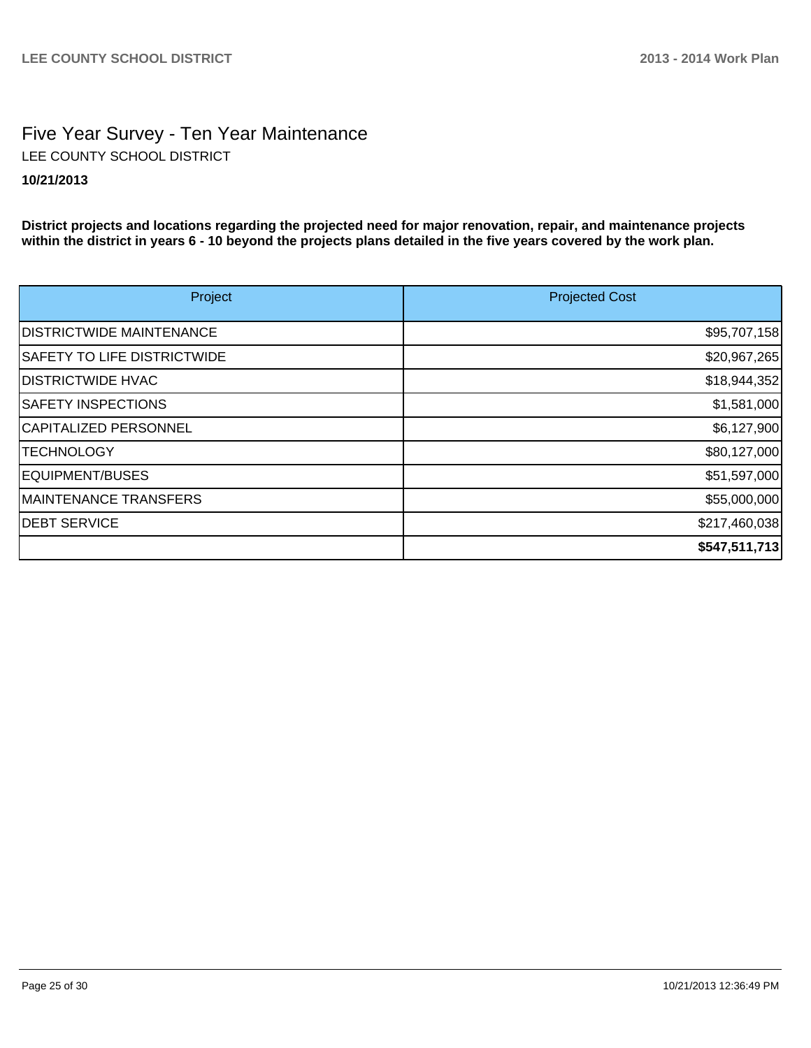# Five Year Survey - Ten Year Maintenance **10/21/2013** LEE COUNTY SCHOOL DISTRICT

**District projects and locations regarding the projected need for major renovation, repair, and maintenance projects within the district in years 6 - 10 beyond the projects plans detailed in the five years covered by the work plan.**

| Project                            | <b>Projected Cost</b> |
|------------------------------------|-----------------------|
| <b>IDISTRICTWIDE MAINTENANCE</b>   | \$95,707,158          |
| <b>SAFETY TO LIFE DISTRICTWIDE</b> | \$20,967,265          |
| <b>DISTRICTWIDE HVAC</b>           | \$18,944,352          |
| <b>SAFETY INSPECTIONS</b>          | \$1,581,000           |
| CAPITALIZED PERSONNEL              | \$6,127,900           |
| <b>TECHNOLOGY</b>                  | \$80,127,000          |
| EQUIPMENT/BUSES                    | \$51,597,000          |
| <b>MAINTENANCE TRANSFERS</b>       | \$55,000,000          |
| <b>DEBT SERVICE</b>                | \$217,460,038         |
|                                    | \$547,511,713         |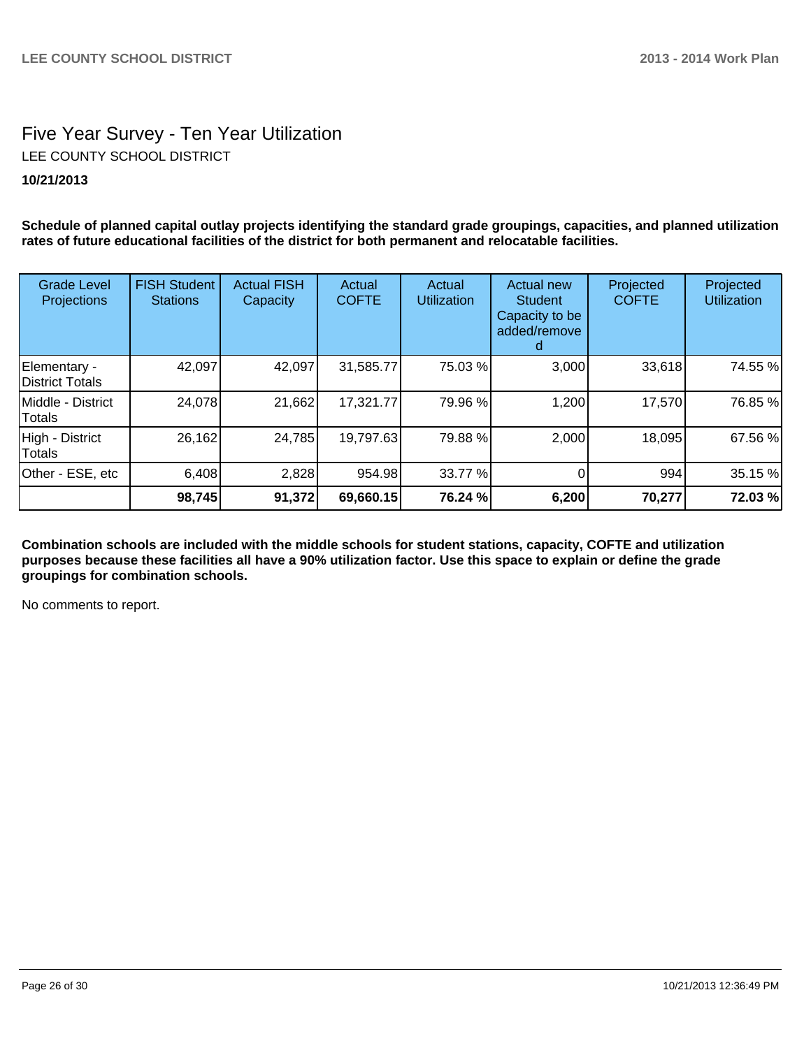# Five Year Survey - Ten Year Utilization LEE COUNTY SCHOOL DISTRICT

## **10/21/2013**

**Schedule of planned capital outlay projects identifying the standard grade groupings, capacities, and planned utilization rates of future educational facilities of the district for both permanent and relocatable facilities.**

| <b>Grade Level</b><br>Projections | <b>FISH Student</b><br><b>Stations</b> | <b>Actual FISH</b><br>Capacity | Actual<br><b>COFTE</b> | Actual<br><b>Utilization</b> | Actual new<br><b>Student</b><br>Capacity to be<br>added/remove | Projected<br><b>COFTE</b> | Projected<br><b>Utilization</b> |
|-----------------------------------|----------------------------------------|--------------------------------|------------------------|------------------------------|----------------------------------------------------------------|---------------------------|---------------------------------|
| Elementary -<br>District Totals   | 42,097                                 | 42,097                         | 31,585.77              | 75.03 %                      | 3,000                                                          | 33,618                    | 74.55 %                         |
| Middle - District<br>Totals       | 24,078                                 | 21,662                         | 17,321.77              | 79.96 %                      | 1,200                                                          | 17,570                    | 76.85 %                         |
| High - District<br>Totals         | 26,162                                 | 24,785                         | 19,797.63              | 79.88 %                      | 2,000                                                          | 18,095                    | 67.56 %                         |
| Other - ESE, etc                  | 6,408                                  | 2,828                          | 954.98                 | 33.77 %                      |                                                                | 994                       | 35.15 %                         |
|                                   | 98,745                                 | 91,372                         | 69,660.15              | 76.24 %                      | 6,200                                                          | 70,277                    | 72.03 %                         |

**Combination schools are included with the middle schools for student stations, capacity, COFTE and utilization purposes because these facilities all have a 90% utilization factor. Use this space to explain or define the grade groupings for combination schools.**

No comments to report.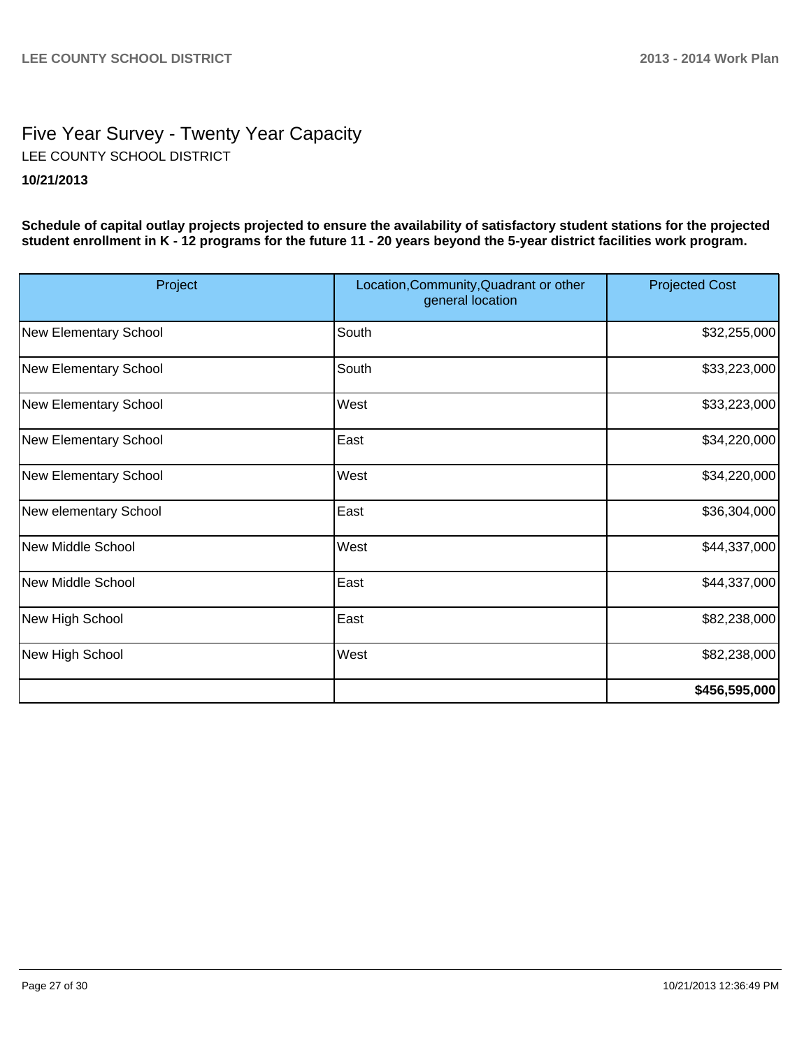# Five Year Survey - Twenty Year Capacity **10/21/2013** LEE COUNTY SCHOOL DISTRICT

**Schedule of capital outlay projects projected to ensure the availability of satisfactory student stations for the projected student enrollment in K - 12 programs for the future 11 - 20 years beyond the 5-year district facilities work program.**

| Project               | Location, Community, Quadrant or other<br>general location | <b>Projected Cost</b> |
|-----------------------|------------------------------------------------------------|-----------------------|
| New Elementary School | South                                                      | \$32,255,000          |
| New Elementary School | South                                                      | \$33,223,000          |
| New Elementary School | West                                                       | \$33,223,000          |
| New Elementary School | East                                                       | \$34,220,000          |
| New Elementary School | West                                                       | \$34,220,000          |
| New elementary School | East                                                       | \$36,304,000          |
| New Middle School     | West                                                       | \$44,337,000          |
| New Middle School     | East                                                       | \$44,337,000          |
| New High School       | East                                                       | \$82,238,000          |
| New High School       | West                                                       | \$82,238,000          |
|                       |                                                            | \$456,595,000         |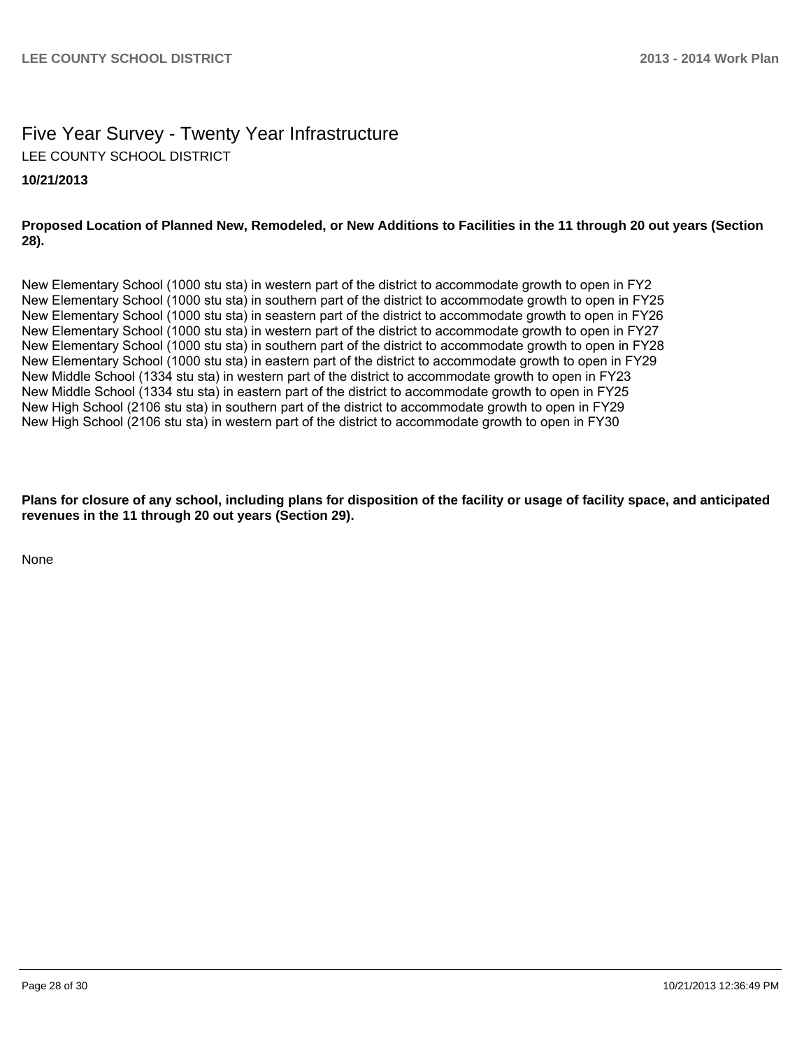# Five Year Survey - Twenty Year Infrastructure LEE COUNTY SCHOOL DISTRICT

#### **10/21/2013**

#### **Proposed Location of Planned New, Remodeled, or New Additions to Facilities in the 11 through 20 out years (Section 28).**

New Elementary School (1000 stu sta) in western part of the district to accommodate growth to open in FY2 New Elementary School (1000 stu sta) in southern part of the district to accommodate growth to open in FY25 New Elementary School (1000 stu sta) in seastern part of the district to accommodate growth to open in FY26 New Elementary School (1000 stu sta) in western part of the district to accommodate growth to open in FY27 New Elementary School (1000 stu sta) in southern part of the district to accommodate growth to open in FY28 New Elementary School (1000 stu sta) in eastern part of the district to accommodate growth to open in FY29 New Middle School (1334 stu sta) in western part of the district to accommodate growth to open in FY23 New Middle School (1334 stu sta) in eastern part of the district to accommodate growth to open in FY25 New High School (2106 stu sta) in southern part of the district to accommodate growth to open in FY29 New High School (2106 stu sta) in western part of the district to accommodate growth to open in FY30

**Plans for closure of any school, including plans for disposition of the facility or usage of facility space, and anticipated revenues in the 11 through 20 out years (Section 29).**

None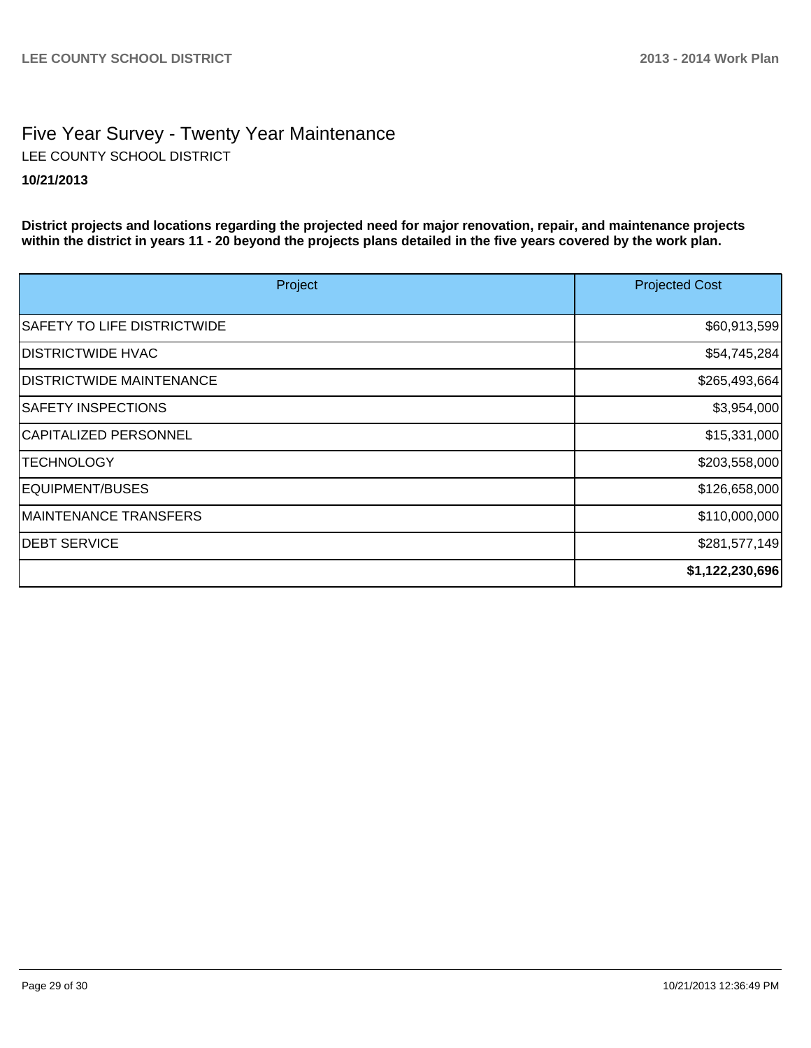# Five Year Survey - Twenty Year Maintenance **10/21/2013** LEE COUNTY SCHOOL DISTRICT

**District projects and locations regarding the projected need for major renovation, repair, and maintenance projects within the district in years 11 - 20 beyond the projects plans detailed in the five years covered by the work plan.**

| Project                            | <b>Projected Cost</b> |
|------------------------------------|-----------------------|
| <b>SAFETY TO LIFE DISTRICTWIDE</b> | \$60,913,599          |
| <b>IDISTRICTWIDE HVAC</b>          | \$54,745,284          |
| <b>IDISTRICTWIDE MAINTENANCE</b>   | \$265,493,664         |
| <b>SAFETY INSPECTIONS</b>          | \$3,954,000           |
| CAPITALIZED PERSONNEL              | \$15,331,000          |
| <b>TECHNOLOGY</b>                  | \$203,558,000         |
| EQUIPMENT/BUSES                    | \$126,658,000         |
| MAINTENANCE TRANSFERS              | \$110,000,000         |
| <b>IDEBT SERVICE</b>               | \$281,577,149         |
|                                    | \$1,122,230,696       |